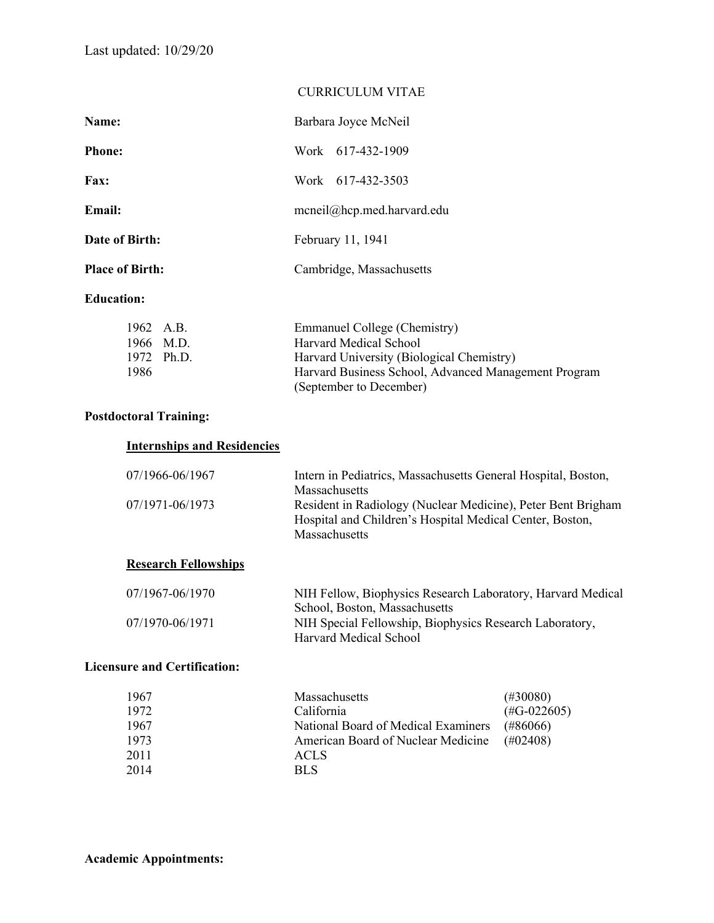|                        | <b>CURRICULUM VITAE</b>    |
|------------------------|----------------------------|
| Name:                  | Barbara Joyce McNeil       |
| <b>Phone:</b>          | Work 617-432-1909          |
| <b>Fax:</b>            | Work 617-432-3503          |
| Email:                 | mcneil@hcp.med.harvard.edu |
| Date of Birth:         | February 11, 1941          |
| <b>Place of Birth:</b> | Cambridge, Massachusetts   |
| <b>Education:</b>      |                            |
|                        |                            |

| 1962 A.B. |            | Emmanuel College (Chemistry)                         |
|-----------|------------|------------------------------------------------------|
|           | 1966 M.D.  | Harvard Medical School                               |
|           | 1972 Ph.D. | Harvard University (Biological Chemistry)            |
| 1986      |            | Harvard Business School, Advanced Management Program |
|           |            | (September to December)                              |

### **Postdoctoral Training:**

## **Internships and Residencies**

| 07/1966-06/1967 | Intern in Pediatrics, Massachusetts General Hospital, Boston,<br><b>Massachusetts</b>                                                            |
|-----------------|--------------------------------------------------------------------------------------------------------------------------------------------------|
| 07/1971-06/1973 | Resident in Radiology (Nuclear Medicine), Peter Bent Brigham<br>Hospital and Children's Hospital Medical Center, Boston,<br><b>Massachusetts</b> |

#### **Research Fellowships**

| 07/1967-06/1970 | NIH Fellow, Biophysics Research Laboratory, Harvard Medical |
|-----------------|-------------------------------------------------------------|
|                 | School, Boston, Massachusetts                               |
| 07/1970-06/1971 | NIH Special Fellowship, Biophysics Research Laboratory,     |
|                 | Harvard Medical School                                      |

#### **Licensure and Certification:**

| 1967 | Massachusetts                       | $(\#30080)$           |
|------|-------------------------------------|-----------------------|
| 1972 | California                          | $(\text{\#G-022605})$ |
| 1967 | National Board of Medical Examiners | (#86066)              |
| 1973 | American Board of Nuclear Medicine  | $(\text{\#}02408)$    |
| 2011 | <b>ACLS</b>                         |                       |
| 2014 | <b>BLS</b>                          |                       |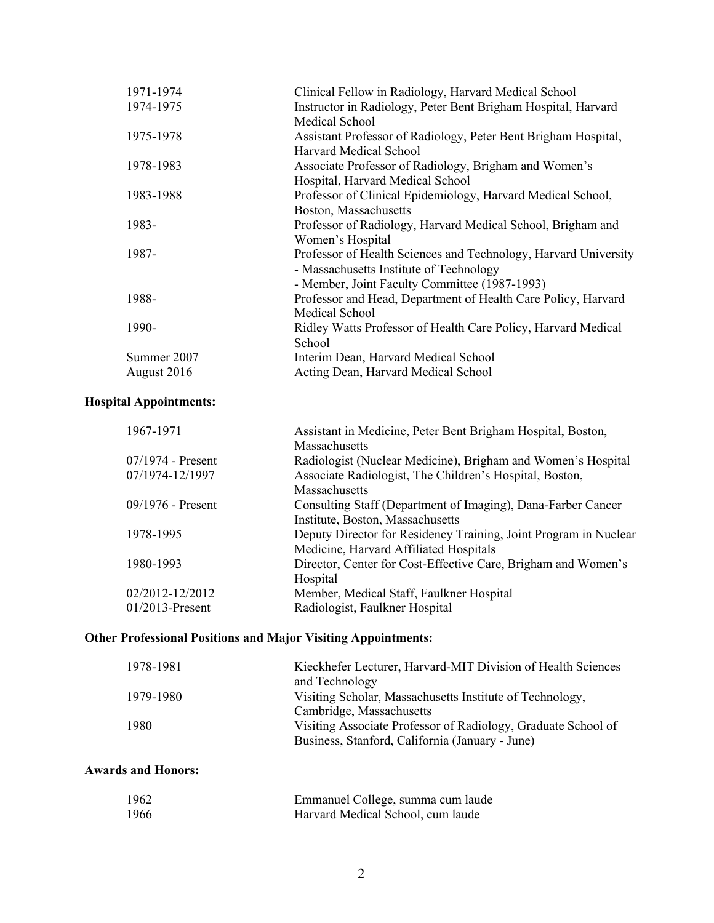| 1971-1974   | Clinical Fellow in Radiology, Harvard Medical School            |
|-------------|-----------------------------------------------------------------|
| 1974-1975   | Instructor in Radiology, Peter Bent Brigham Hospital, Harvard   |
|             | Medical School                                                  |
| 1975-1978   | Assistant Professor of Radiology, Peter Bent Brigham Hospital,  |
|             | Harvard Medical School                                          |
| 1978-1983   | Associate Professor of Radiology, Brigham and Women's           |
|             | Hospital, Harvard Medical School                                |
| 1983-1988   | Professor of Clinical Epidemiology, Harvard Medical School,     |
|             | Boston, Massachusetts                                           |
| 1983-       | Professor of Radiology, Harvard Medical School, Brigham and     |
|             | Women's Hospital                                                |
| 1987-       | Professor of Health Sciences and Technology, Harvard University |
|             | - Massachusetts Institute of Technology                         |
|             | - Member, Joint Faculty Committee (1987-1993)                   |
| 1988-       | Professor and Head, Department of Health Care Policy, Harvard   |
|             | Medical School                                                  |
| 1990-       | Ridley Watts Professor of Health Care Policy, Harvard Medical   |
|             | School                                                          |
| Summer 2007 | Interim Dean, Harvard Medical School                            |
| August 2016 | Acting Dean, Harvard Medical School                             |
|             |                                                                 |

# **Hospital Appointments:**

| 1967-1971           | Assistant in Medicine, Peter Bent Brigham Hospital, Boston,      |
|---------------------|------------------------------------------------------------------|
|                     | Massachusetts                                                    |
| $07/1974$ - Present | Radiologist (Nuclear Medicine), Brigham and Women's Hospital     |
| 07/1974-12/1997     | Associate Radiologist, The Children's Hospital, Boston,          |
|                     | Massachusetts                                                    |
| $09/1976$ - Present | Consulting Staff (Department of Imaging), Dana-Farber Cancer     |
|                     | Institute, Boston, Massachusetts                                 |
| 1978-1995           | Deputy Director for Residency Training, Joint Program in Nuclear |
|                     | Medicine, Harvard Affiliated Hospitals                           |
| 1980-1993           | Director, Center for Cost-Effective Care, Brigham and Women's    |
|                     | Hospital                                                         |
| 02/2012-12/2012     | Member, Medical Staff, Faulkner Hospital                         |
| $01/2013$ -Present  | Radiologist, Faulkner Hospital                                   |
|                     |                                                                  |

## **Other Professional Positions and Major Visiting Appointments:**

| 1978-1981 | Kieckhefer Lecturer, Harvard-MIT Division of Health Sciences  |
|-----------|---------------------------------------------------------------|
|           | and Technology                                                |
| 1979-1980 | Visiting Scholar, Massachusetts Institute of Technology,      |
|           | Cambridge, Massachusetts                                      |
| 1980      | Visiting Associate Professor of Radiology, Graduate School of |
|           | Business, Stanford, California (January - June)               |

### **Awards and Honors:**

| 1962  | Emmanuel College, summa cum laude |
|-------|-----------------------------------|
| -1966 | Harvard Medical School, cum laude |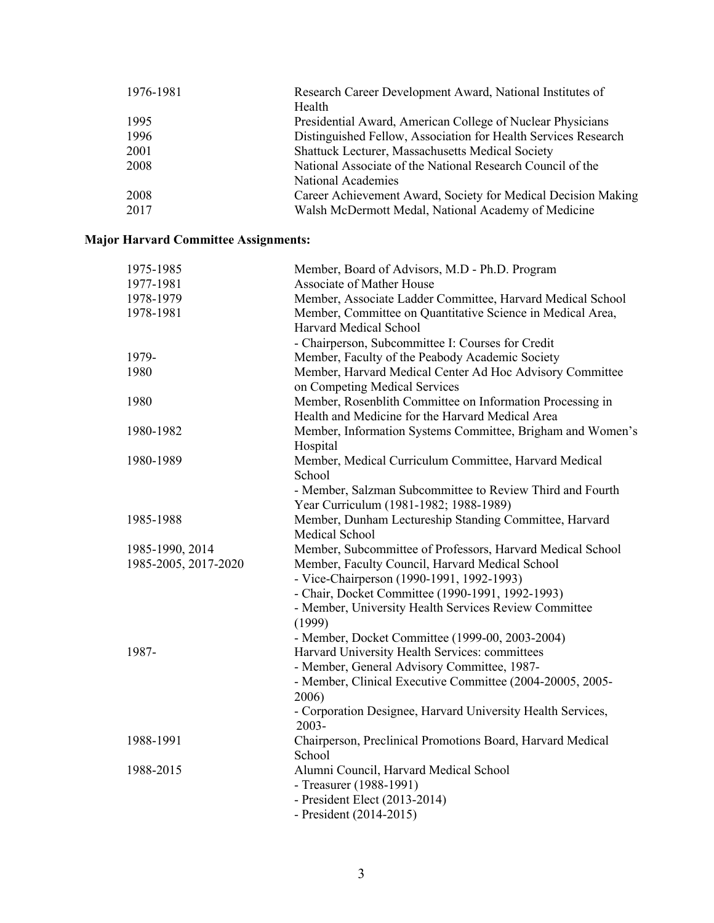| 1976-1981 | Research Career Development Award, National Institutes of      |
|-----------|----------------------------------------------------------------|
|           | Health                                                         |
| 1995      | Presidential Award, American College of Nuclear Physicians     |
| 1996      | Distinguished Fellow, Association for Health Services Research |
| 2001      | Shattuck Lecturer, Massachusetts Medical Society               |
| 2008      | National Associate of the National Research Council of the     |
|           | National Academies                                             |
| 2008      | Career Achievement Award, Society for Medical Decision Making  |
| 2017      | Walsh McDermott Medal, National Academy of Medicine            |

## **Major Harvard Committee Assignments:**

| 1975-1985            | Member, Board of Advisors, M.D - Ph.D. Program              |
|----------------------|-------------------------------------------------------------|
| 1977-1981            | Associate of Mather House                                   |
| 1978-1979            | Member, Associate Ladder Committee, Harvard Medical School  |
| 1978-1981            | Member, Committee on Quantitative Science in Medical Area,  |
|                      | Harvard Medical School                                      |
|                      | - Chairperson, Subcommittee I: Courses for Credit           |
| 1979-                | Member, Faculty of the Peabody Academic Society             |
| 1980                 | Member, Harvard Medical Center Ad Hoc Advisory Committee    |
|                      | on Competing Medical Services                               |
| 1980                 | Member, Rosenblith Committee on Information Processing in   |
|                      | Health and Medicine for the Harvard Medical Area            |
| 1980-1982            | Member, Information Systems Committee, Brigham and Women's  |
|                      | Hospital                                                    |
| 1980-1989            | Member, Medical Curriculum Committee, Harvard Medical       |
|                      | School                                                      |
|                      | - Member, Salzman Subcommittee to Review Third and Fourth   |
|                      | Year Curriculum (1981-1982; 1988-1989)                      |
| 1985-1988            | Member, Dunham Lectureship Standing Committee, Harvard      |
|                      | Medical School                                              |
| 1985-1990, 2014      | Member, Subcommittee of Professors, Harvard Medical School  |
| 1985-2005, 2017-2020 | Member, Faculty Council, Harvard Medical School             |
|                      | - Vice-Chairperson (1990-1991, 1992-1993)                   |
|                      | - Chair, Docket Committee (1990-1991, 1992-1993)            |
|                      |                                                             |
|                      | - Member, University Health Services Review Committee       |
|                      | (1999)                                                      |
|                      | - Member, Docket Committee (1999-00, 2003-2004)             |
| 1987-                | Harvard University Health Services: committees              |
|                      | - Member, General Advisory Committee, 1987-                 |
|                      | - Member, Clinical Executive Committee (2004-20005, 2005-   |
|                      | 2006)                                                       |
|                      | - Corporation Designee, Harvard University Health Services, |
|                      | 2003-                                                       |
| 1988-1991            | Chairperson, Preclinical Promotions Board, Harvard Medical  |
|                      | School                                                      |
| 1988-2015            | Alumni Council, Harvard Medical School                      |
|                      | - Treasurer (1988-1991)                                     |
|                      | - President Elect (2013-2014)                               |
|                      | - President (2014-2015)                                     |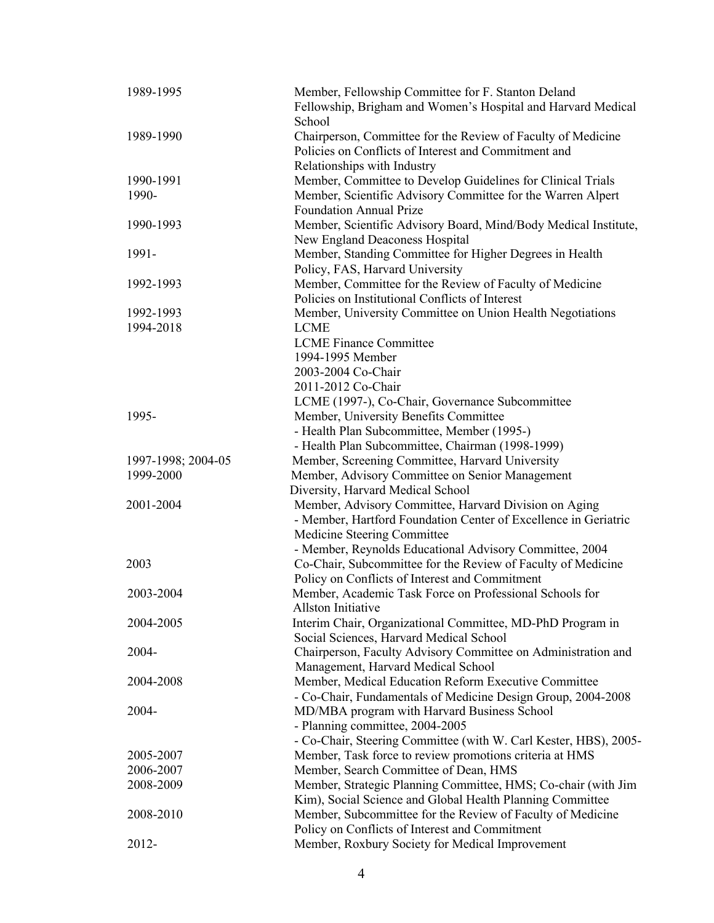| 1989-1995              | Member, Fellowship Committee for F. Stanton Deland<br>Fellowship, Brigham and Women's Hospital and Harvard Medical |
|------------------------|--------------------------------------------------------------------------------------------------------------------|
|                        | School                                                                                                             |
| 1989-1990              | Chairperson, Committee for the Review of Faculty of Medicine                                                       |
|                        | Policies on Conflicts of Interest and Commitment and                                                               |
|                        | Relationships with Industry                                                                                        |
| 1990-1991              | Member, Committee to Develop Guidelines for Clinical Trials                                                        |
| 1990-                  | Member, Scientific Advisory Committee for the Warren Alpert                                                        |
|                        | <b>Foundation Annual Prize</b>                                                                                     |
| 1990-1993              | Member, Scientific Advisory Board, Mind/Body Medical Institute,                                                    |
|                        | New England Deaconess Hospital                                                                                     |
| 1991-                  | Member, Standing Committee for Higher Degrees in Health                                                            |
|                        | Policy, FAS, Harvard University                                                                                    |
| 1992-1993              | Member, Committee for the Review of Faculty of Medicine                                                            |
|                        | Policies on Institutional Conflicts of Interest                                                                    |
| 1992-1993              | Member, University Committee on Union Health Negotiations                                                          |
| 1994-2018              | <b>LCME</b>                                                                                                        |
|                        | <b>LCME Finance Committee</b>                                                                                      |
|                        | 1994-1995 Member                                                                                                   |
|                        | 2003-2004 Co-Chair                                                                                                 |
|                        | 2011-2012 Co-Chair                                                                                                 |
|                        | LCME (1997-), Co-Chair, Governance Subcommittee                                                                    |
| 1995-                  | Member, University Benefits Committee                                                                              |
|                        | - Health Plan Subcommittee, Member (1995-)                                                                         |
|                        | - Health Plan Subcommittee, Chairman (1998-1999)                                                                   |
| 1997-1998; 2004-05     | Member, Screening Committee, Harvard University                                                                    |
| 1999-2000              | Member, Advisory Committee on Senior Management                                                                    |
|                        | Diversity, Harvard Medical School                                                                                  |
| 2001-2004              | Member, Advisory Committee, Harvard Division on Aging                                                              |
|                        | - Member, Hartford Foundation Center of Excellence in Geriatric                                                    |
|                        | Medicine Steering Committee                                                                                        |
|                        | - Member, Reynolds Educational Advisory Committee, 2004                                                            |
| 2003                   | Co-Chair, Subcommittee for the Review of Faculty of Medicine                                                       |
|                        | Policy on Conflicts of Interest and Commitment                                                                     |
| 2003-2004              | Member, Academic Task Force on Professional Schools for                                                            |
|                        | Allston Initiative                                                                                                 |
| 2004-2005              | Interim Chair, Organizational Committee, MD-PhD Program in                                                         |
|                        | Social Sciences, Harvard Medical School                                                                            |
| 2004-                  | Chairperson, Faculty Advisory Committee on Administration and                                                      |
|                        | Management, Harvard Medical School                                                                                 |
| 2004-2008              | Member, Medical Education Reform Executive Committee                                                               |
|                        | - Co-Chair, Fundamentals of Medicine Design Group, 2004-2008                                                       |
| 2004-                  | MD/MBA program with Harvard Business School                                                                        |
|                        | - Planning committee, 2004-2005                                                                                    |
|                        | - Co-Chair, Steering Committee (with W. Carl Kester, HBS), 2005-                                                   |
| 2005-2007<br>2006-2007 | Member, Task force to review promotions criteria at HMS<br>Member, Search Committee of Dean, HMS                   |
|                        |                                                                                                                    |
| 2008-2009              | Member, Strategic Planning Committee, HMS; Co-chair (with Jim                                                      |
|                        | Kim), Social Science and Global Health Planning Committee                                                          |
| 2008-2010              | Member, Subcommittee for the Review of Faculty of Medicine                                                         |
|                        | Policy on Conflicts of Interest and Commitment                                                                     |
| 2012-                  | Member, Roxbury Society for Medical Improvement                                                                    |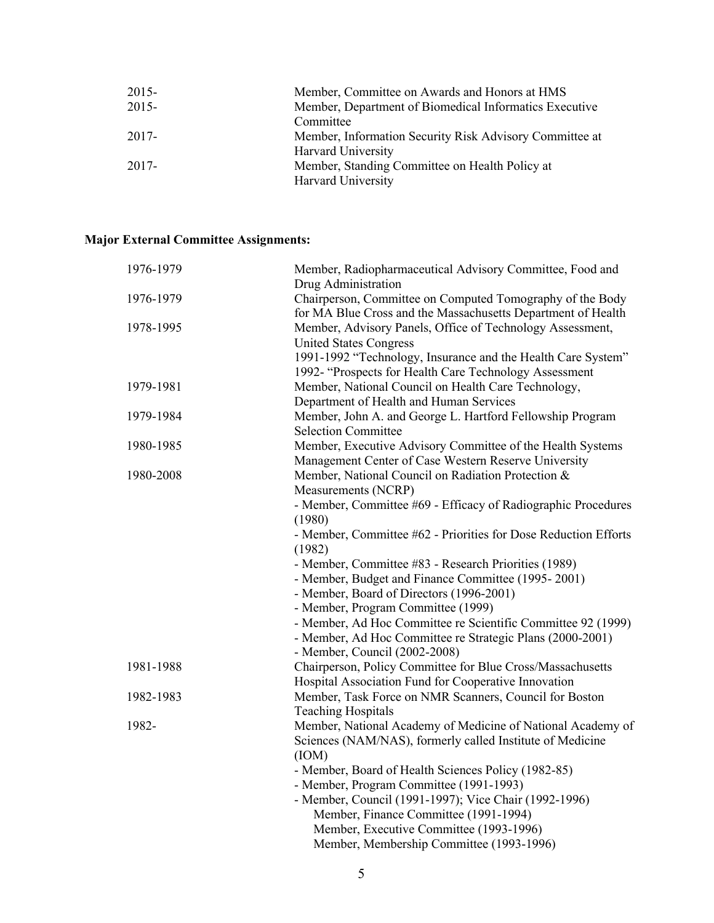| $2015 -$ | Member, Committee on Awards and Honors at HMS           |
|----------|---------------------------------------------------------|
| $2015 -$ | Member, Department of Biomedical Informatics Executive  |
|          | Committee                                               |
| 2017-    | Member, Information Security Risk Advisory Committee at |
|          | Harvard University                                      |
| 2017-    | Member, Standing Committee on Health Policy at          |
|          | Harvard University                                      |

## **Major External Committee Assignments:**

| 1976-1979 | Member, Radiopharmaceutical Advisory Committee, Food and                                       |
|-----------|------------------------------------------------------------------------------------------------|
| 1976-1979 | Drug Administration<br>Chairperson, Committee on Computed Tomography of the Body               |
|           | for MA Blue Cross and the Massachusetts Department of Health                                   |
| 1978-1995 | Member, Advisory Panels, Office of Technology Assessment,                                      |
|           | <b>United States Congress</b>                                                                  |
|           | 1991-1992 "Technology, Insurance and the Health Care System"                                   |
|           | 1992- "Prospects for Health Care Technology Assessment                                         |
| 1979-1981 | Member, National Council on Health Care Technology,                                            |
|           | Department of Health and Human Services                                                        |
| 1979-1984 | Member, John A. and George L. Hartford Fellowship Program                                      |
|           | <b>Selection Committee</b>                                                                     |
| 1980-1985 | Member, Executive Advisory Committee of the Health Systems                                     |
|           | Management Center of Case Western Reserve University                                           |
| 1980-2008 | Member, National Council on Radiation Protection &                                             |
|           | Measurements (NCRP)                                                                            |
|           | - Member, Committee #69 - Efficacy of Radiographic Procedures                                  |
|           | (1980)                                                                                         |
|           | - Member, Committee #62 - Priorities for Dose Reduction Efforts                                |
|           | (1982)                                                                                         |
|           | - Member, Committee #83 - Research Priorities (1989)                                           |
|           | - Member, Budget and Finance Committee (1995-2001)                                             |
|           | - Member, Board of Directors (1996-2001)                                                       |
|           | - Member, Program Committee (1999)                                                             |
|           | - Member, Ad Hoc Committee re Scientific Committee 92 (1999)                                   |
|           | - Member, Ad Hoc Committee re Strategic Plans (2000-2001)                                      |
|           | - Member, Council (2002-2008)                                                                  |
| 1981-1988 | Chairperson, Policy Committee for Blue Cross/Massachusetts                                     |
|           | Hospital Association Fund for Cooperative Innovation                                           |
| 1982-1983 | Member, Task Force on NMR Scanners, Council for Boston                                         |
|           | <b>Teaching Hospitals</b>                                                                      |
| 1982-     | Member, National Academy of Medicine of National Academy of                                    |
|           | Sciences (NAM/NAS), formerly called Institute of Medicine                                      |
|           | (ION)                                                                                          |
|           | - Member, Board of Health Sciences Policy (1982-85)                                            |
|           | - Member, Program Committee (1991-1993)                                                        |
|           | - Member, Council (1991-1997); Vice Chair (1992-1996)<br>Member, Finance Committee (1991-1994) |
|           | Member, Executive Committee (1993-1996)                                                        |
|           | Member, Membership Committee (1993-1996)                                                       |
|           |                                                                                                |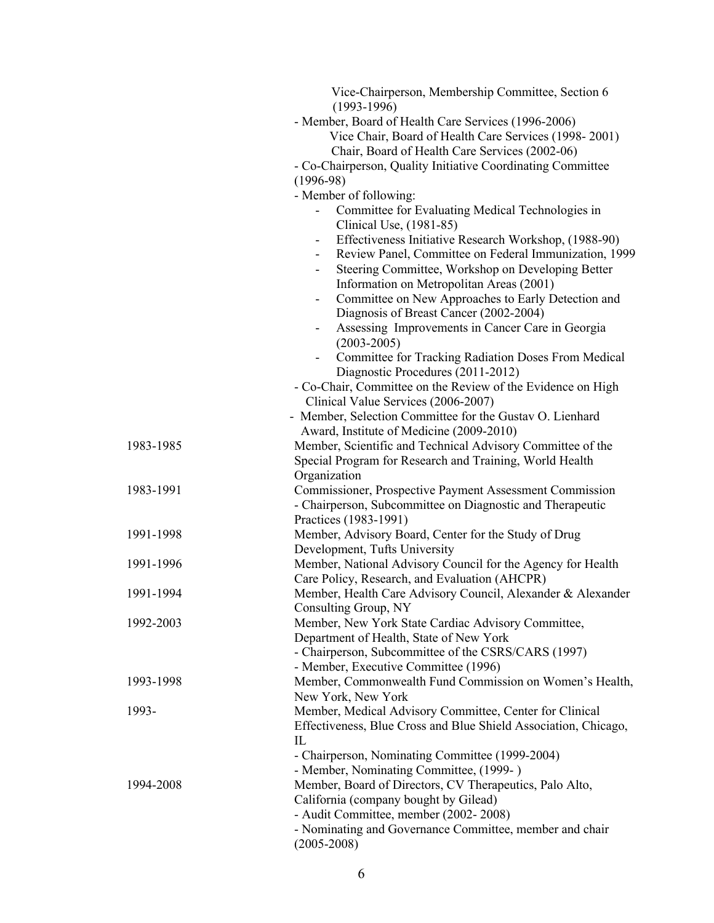|           | Vice-Chairperson, Membership Committee, Section 6<br>$(1993-1996)$                                                       |
|-----------|--------------------------------------------------------------------------------------------------------------------------|
|           | - Member, Board of Health Care Services (1996-2006)                                                                      |
|           | Vice Chair, Board of Health Care Services (1998-2001)                                                                    |
|           | Chair, Board of Health Care Services (2002-06)                                                                           |
|           | - Co-Chairperson, Quality Initiative Coordinating Committee                                                              |
|           | $(1996-98)$                                                                                                              |
|           | - Member of following:                                                                                                   |
|           | Committee for Evaluating Medical Technologies in                                                                         |
|           | Clinical Use, (1981-85)                                                                                                  |
|           | Effectiveness Initiative Research Workshop, (1988-90)<br>$\overline{\phantom{a}}$                                        |
|           | Review Panel, Committee on Federal Immunization, 1999<br>$\overline{\phantom{a}}$                                        |
|           | Steering Committee, Workshop on Developing Better                                                                        |
|           | Information on Metropolitan Areas (2001)                                                                                 |
|           | Committee on New Approaches to Early Detection and<br>$\overline{\phantom{a}}$<br>Diagnosis of Breast Cancer (2002-2004) |
|           | Assessing Improvements in Cancer Care in Georgia                                                                         |
|           | $(2003 - 2005)$                                                                                                          |
|           | Committee for Tracking Radiation Doses From Medical                                                                      |
|           | Diagnostic Procedures (2011-2012)                                                                                        |
|           | - Co-Chair, Committee on the Review of the Evidence on High                                                              |
|           | Clinical Value Services (2006-2007)                                                                                      |
|           | - Member, Selection Committee for the Gustav O. Lienhard                                                                 |
|           | Award, Institute of Medicine (2009-2010)                                                                                 |
| 1983-1985 | Member, Scientific and Technical Advisory Committee of the                                                               |
|           | Special Program for Research and Training, World Health                                                                  |
|           | Organization                                                                                                             |
| 1983-1991 | Commissioner, Prospective Payment Assessment Commission                                                                  |
|           | - Chairperson, Subcommittee on Diagnostic and Therapeutic                                                                |
|           | Practices (1983-1991)                                                                                                    |
| 1991-1998 | Member, Advisory Board, Center for the Study of Drug                                                                     |
|           | Development, Tufts University                                                                                            |
| 1991-1996 | Member, National Advisory Council for the Agency for Health                                                              |
|           | Care Policy, Research, and Evaluation (AHCPR)                                                                            |
| 1991-1994 | Member, Health Care Advisory Council, Alexander & Alexander                                                              |
|           | Consulting Group, NY                                                                                                     |
| 1992-2003 | Member, New York State Cardiac Advisory Committee,                                                                       |
|           | Department of Health, State of New York                                                                                  |
|           | - Chairperson, Subcommittee of the CSRS/CARS (1997)                                                                      |
|           | - Member, Executive Committee (1996)                                                                                     |
| 1993-1998 | Member, Commonwealth Fund Commission on Women's Health,                                                                  |
| 1993-     | New York, New York<br>Member, Medical Advisory Committee, Center for Clinical                                            |
|           | Effectiveness, Blue Cross and Blue Shield Association, Chicago,                                                          |
|           | IL                                                                                                                       |
|           | - Chairperson, Nominating Committee (1999-2004)                                                                          |
|           | - Member, Nominating Committee, (1999-)                                                                                  |
| 1994-2008 | Member, Board of Directors, CV Therapeutics, Palo Alto,                                                                  |
|           | California (company bought by Gilead)                                                                                    |
|           | - Audit Committee, member (2002-2008)                                                                                    |
|           | - Nominating and Governance Committee, member and chair                                                                  |
|           | $(2005 - 2008)$                                                                                                          |
|           |                                                                                                                          |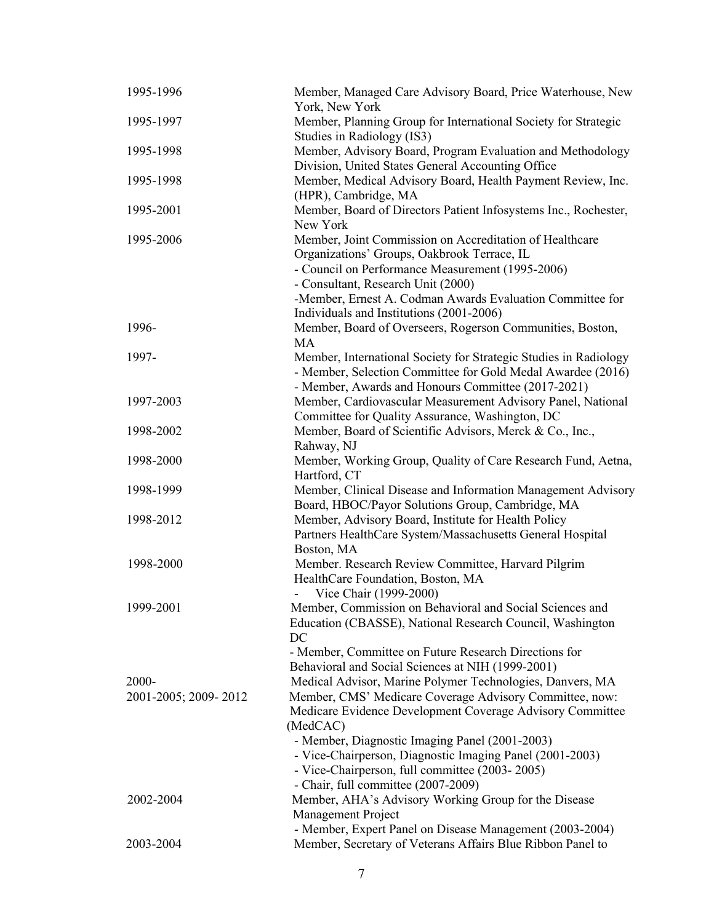| 1995-1996            | Member, Managed Care Advisory Board, Price Waterhouse, New<br>York, New York                                                                                                                                                                                                                     |
|----------------------|--------------------------------------------------------------------------------------------------------------------------------------------------------------------------------------------------------------------------------------------------------------------------------------------------|
| 1995-1997            | Member, Planning Group for International Society for Strategic<br>Studies in Radiology (IS3)                                                                                                                                                                                                     |
| 1995-1998            | Member, Advisory Board, Program Evaluation and Methodology<br>Division, United States General Accounting Office                                                                                                                                                                                  |
| 1995-1998            | Member, Medical Advisory Board, Health Payment Review, Inc.<br>(HPR), Cambridge, MA                                                                                                                                                                                                              |
| 1995-2001            | Member, Board of Directors Patient Infosystems Inc., Rochester,<br>New York                                                                                                                                                                                                                      |
| 1995-2006            | Member, Joint Commission on Accreditation of Healthcare<br>Organizations' Groups, Oakbrook Terrace, IL<br>- Council on Performance Measurement (1995-2006)<br>- Consultant, Research Unit (2000)                                                                                                 |
|                      | -Member, Ernest A. Codman Awards Evaluation Committee for<br>Individuals and Institutions (2001-2006)                                                                                                                                                                                            |
| 1996-                | Member, Board of Overseers, Rogerson Communities, Boston,<br>MA                                                                                                                                                                                                                                  |
| 1997-                | Member, International Society for Strategic Studies in Radiology<br>- Member, Selection Committee for Gold Medal Awardee (2016)<br>- Member, Awards and Honours Committee (2017-2021)                                                                                                            |
| 1997-2003            | Member, Cardiovascular Measurement Advisory Panel, National<br>Committee for Quality Assurance, Washington, DC                                                                                                                                                                                   |
| 1998-2002            | Member, Board of Scientific Advisors, Merck & Co., Inc.,<br>Rahway, NJ                                                                                                                                                                                                                           |
| 1998-2000            | Member, Working Group, Quality of Care Research Fund, Aetna,<br>Hartford, CT                                                                                                                                                                                                                     |
| 1998-1999            | Member, Clinical Disease and Information Management Advisory<br>Board, HBOC/Payor Solutions Group, Cambridge, MA                                                                                                                                                                                 |
| 1998-2012            | Member, Advisory Board, Institute for Health Policy<br>Partners HealthCare System/Massachusetts General Hospital<br>Boston, MA                                                                                                                                                                   |
| 1998-2000            | Member. Research Review Committee, Harvard Pilgrim<br>HealthCare Foundation, Boston, MA<br>Vice Chair (1999-2000)                                                                                                                                                                                |
| 1999-2001            | Member, Commission on Behavioral and Social Sciences and<br>Education (CBASSE), National Research Council, Washington<br>DC                                                                                                                                                                      |
| 2000-                | - Member, Committee on Future Research Directions for<br>Behavioral and Social Sciences at NIH (1999-2001)<br>Medical Advisor, Marine Polymer Technologies, Danvers, MA                                                                                                                          |
| 2001-2005; 2009-2012 | Member, CMS' Medicare Coverage Advisory Committee, now:<br>Medicare Evidence Development Coverage Advisory Committee<br>(MedCAC)<br>- Member, Diagnostic Imaging Panel (2001-2003)<br>- Vice-Chairperson, Diagnostic Imaging Panel (2001-2003)<br>- Vice-Chairperson, full committee (2003-2005) |
| 2002-2004            | - Chair, full committee (2007-2009)<br>Member, AHA's Advisory Working Group for the Disease<br>Management Project<br>- Member, Expert Panel on Disease Management (2003-2004)                                                                                                                    |
| 2003-2004            | Member, Secretary of Veterans Affairs Blue Ribbon Panel to                                                                                                                                                                                                                                       |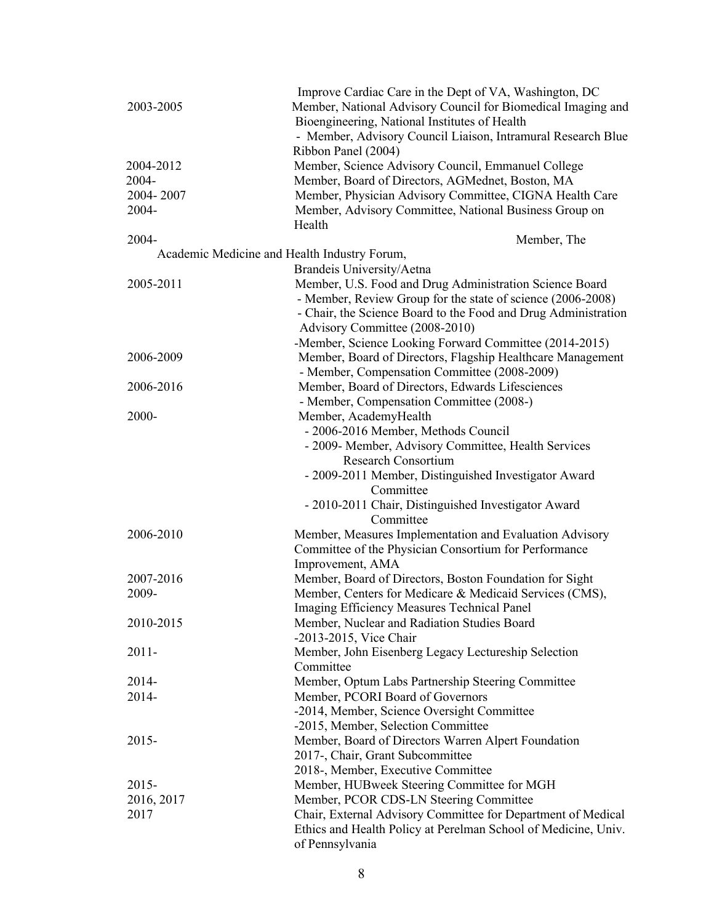|                                              | Improve Cardiac Care in the Dept of VA, Washington, DC         |
|----------------------------------------------|----------------------------------------------------------------|
| 2003-2005                                    | Member, National Advisory Council for Biomedical Imaging and   |
|                                              | Bioengineering, National Institutes of Health                  |
|                                              | - Member, Advisory Council Liaison, Intramural Research Blue   |
|                                              | Ribbon Panel (2004)                                            |
| 2004-2012                                    | Member, Science Advisory Council, Emmanuel College             |
| 2004-                                        | Member, Board of Directors, AGMednet, Boston, MA               |
| 2004-2007                                    | Member, Physician Advisory Committee, CIGNA Health Care        |
| 2004-                                        | Member, Advisory Committee, National Business Group on         |
|                                              | Health                                                         |
|                                              |                                                                |
| 2004-                                        | Member, The                                                    |
| Academic Medicine and Health Industry Forum, |                                                                |
|                                              | Brandeis University/Aetna                                      |
| 2005-2011                                    | Member, U.S. Food and Drug Administration Science Board        |
|                                              | - Member, Review Group for the state of science (2006-2008)    |
|                                              | - Chair, the Science Board to the Food and Drug Administration |
|                                              | Advisory Committee (2008-2010)                                 |
|                                              | -Member, Science Looking Forward Committee (2014-2015)         |
| 2006-2009                                    | Member, Board of Directors, Flagship Healthcare Management     |
|                                              | - Member, Compensation Committee (2008-2009)                   |
| 2006-2016                                    | Member, Board of Directors, Edwards Lifesciences               |
|                                              | - Member, Compensation Committee (2008-)                       |
| 2000-                                        | Member, AcademyHealth                                          |
|                                              | - 2006-2016 Member, Methods Council                            |
|                                              | - 2009- Member, Advisory Committee, Health Services            |
|                                              | <b>Research Consortium</b>                                     |
|                                              | - 2009-2011 Member, Distinguished Investigator Award           |
|                                              | Committee                                                      |
|                                              | - 2010-2011 Chair, Distinguished Investigator Award            |
|                                              | Committee                                                      |
| 2006-2010                                    | Member, Measures Implementation and Evaluation Advisory        |
|                                              | Committee of the Physician Consortium for Performance          |
|                                              | Improvement, AMA                                               |
| 2007-2016                                    | Member, Board of Directors, Boston Foundation for Sight        |
| 2009-                                        | Member, Centers for Medicare & Medicaid Services (CMS),        |
|                                              | Imaging Efficiency Measures Technical Panel                    |
| 2010-2015                                    | Member, Nuclear and Radiation Studies Board                    |
|                                              | -2013-2015, Vice Chair                                         |
| $2011 -$                                     | Member, John Eisenberg Legacy Lectureship Selection            |
|                                              | Committee                                                      |
| 2014-                                        | Member, Optum Labs Partnership Steering Committee              |
| 2014-                                        | Member, PCORI Board of Governors                               |
|                                              | -2014, Member, Science Oversight Committee                     |
|                                              | -2015, Member, Selection Committee                             |
| $2015 -$                                     | Member, Board of Directors Warren Alpert Foundation            |
|                                              | 2017-, Chair, Grant Subcommittee                               |
|                                              | 2018-, Member, Executive Committee                             |
| 2015-                                        | Member, HUBweek Steering Committee for MGH                     |
| 2016, 2017                                   | Member, PCOR CDS-LN Steering Committee                         |
| 2017                                         | Chair, External Advisory Committee for Department of Medical   |
|                                              | Ethics and Health Policy at Perelman School of Medicine, Univ. |
|                                              | of Pennsylvania                                                |
|                                              |                                                                |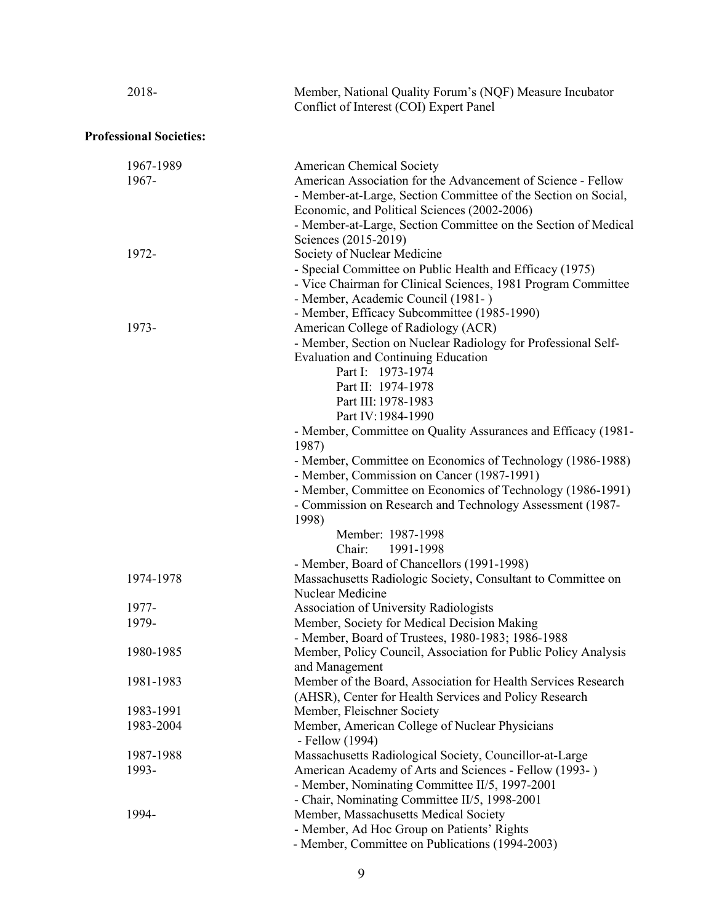| 2018-                          | Member, National Quality Forum's (NQF) Measure Incubator<br>Conflict of Interest (COI) Expert Panel                                                                                                                                                                                                                                          |
|--------------------------------|----------------------------------------------------------------------------------------------------------------------------------------------------------------------------------------------------------------------------------------------------------------------------------------------------------------------------------------------|
| <b>Professional Societies:</b> |                                                                                                                                                                                                                                                                                                                                              |
| 1967-1989<br>1967-             | American Chemical Society<br>American Association for the Advancement of Science - Fellow<br>- Member-at-Large, Section Committee of the Section on Social,<br>Economic, and Political Sciences (2002-2006)                                                                                                                                  |
| 1972-                          | - Member-at-Large, Section Committee on the Section of Medical<br>Sciences (2015-2019)<br>Society of Nuclear Medicine<br>- Special Committee on Public Health and Efficacy (1975)<br>- Vice Chairman for Clinical Sciences, 1981 Program Committee<br>- Member, Academic Council (1981-)                                                     |
| 1973-                          | - Member, Efficacy Subcommittee (1985-1990)<br>American College of Radiology (ACR)<br>- Member, Section on Nuclear Radiology for Professional Self-<br><b>Evaluation and Continuing Education</b><br>Part I: 1973-1974<br>Part II: 1974-1978<br>Part III: 1978-1983                                                                          |
|                                | Part IV: 1984-1990<br>- Member, Committee on Quality Assurances and Efficacy (1981-<br>1987)<br>- Member, Committee on Economics of Technology (1986-1988)<br>- Member, Commission on Cancer (1987-1991)<br>- Member, Committee on Economics of Technology (1986-1991)<br>- Commission on Research and Technology Assessment (1987-<br>1998) |
|                                | Member: 1987-1998<br>Chair: 1991-1998<br>- Member, Board of Chancellors (1991-1998)                                                                                                                                                                                                                                                          |
| 1974-1978                      | Massachusetts Radiologic Society, Consultant to Committee on<br>Nuclear Medicine                                                                                                                                                                                                                                                             |
| 1977-<br>1979-                 | Association of University Radiologists<br>Member, Society for Medical Decision Making<br>- Member, Board of Trustees, 1980-1983; 1986-1988                                                                                                                                                                                                   |
| 1980-1985                      | Member, Policy Council, Association for Public Policy Analysis<br>and Management                                                                                                                                                                                                                                                             |
| 1981-1983                      | Member of the Board, Association for Health Services Research<br>(AHSR), Center for Health Services and Policy Research                                                                                                                                                                                                                      |
| 1983-1991                      | Member, Fleischner Society                                                                                                                                                                                                                                                                                                                   |
| 1983-2004                      | Member, American College of Nuclear Physicians<br>- Fellow (1994)                                                                                                                                                                                                                                                                            |
| 1987-1988                      | Massachusetts Radiological Society, Councillor-at-Large                                                                                                                                                                                                                                                                                      |
| 1993-                          | American Academy of Arts and Sciences - Fellow (1993-)<br>- Member, Nominating Committee II/5, 1997-2001<br>- Chair, Nominating Committee II/5, 1998-2001                                                                                                                                                                                    |
| 1994-                          | Member, Massachusetts Medical Society<br>- Member, Ad Hoc Group on Patients' Rights<br>- Member, Committee on Publications (1994-2003)                                                                                                                                                                                                       |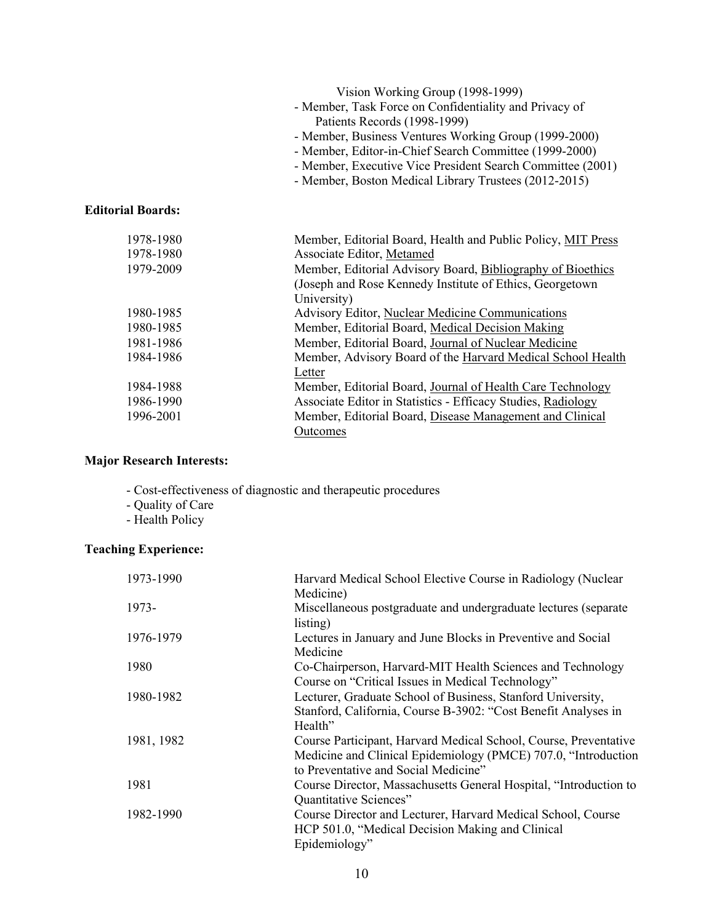|                          | Vision Working Group (1998-1999)<br>- Member, Task Force on Confidentiality and Privacy of<br>Patients Records (1998-1999)<br>- Member, Business Ventures Working Group (1999-2000)<br>- Member, Editor-in-Chief Search Committee (1999-2000)<br>- Member, Executive Vice President Search Committee (2001)<br>- Member, Boston Medical Library Trustees (2012-2015) |
|--------------------------|----------------------------------------------------------------------------------------------------------------------------------------------------------------------------------------------------------------------------------------------------------------------------------------------------------------------------------------------------------------------|
| <b>Editorial Boards:</b> |                                                                                                                                                                                                                                                                                                                                                                      |
| 1978-1980                | Member, Editorial Board, Health and Public Policy, MIT Press                                                                                                                                                                                                                                                                                                         |
| 1978-1980                | Associate Editor, Metamed                                                                                                                                                                                                                                                                                                                                            |
| 1979-2009                | Member, Editorial Advisory Board, Bibliography of Bioethics<br>(Joseph and Rose Kennedy Institute of Ethics, Georgetown<br>University)                                                                                                                                                                                                                               |
| 1980-1985                | Advisory Editor, Nuclear Medicine Communications                                                                                                                                                                                                                                                                                                                     |
| 1980-1985                | Member, Editorial Board, Medical Decision Making                                                                                                                                                                                                                                                                                                                     |
| 1981-1986                | Member, Editorial Board, Journal of Nuclear Medicine                                                                                                                                                                                                                                                                                                                 |
| 1984-1986                | Member, Advisory Board of the Harvard Medical School Health<br>Letter                                                                                                                                                                                                                                                                                                |
| 1984-1988                | Member, Editorial Board, Journal of Health Care Technology                                                                                                                                                                                                                                                                                                           |
| 1986-1990                | Associate Editor in Statistics - Efficacy Studies, Radiology                                                                                                                                                                                                                                                                                                         |
| 1996-2001                | Member, Editorial Board, Disease Management and Clinical<br>Outcomes                                                                                                                                                                                                                                                                                                 |

#### **Major Research Interests:**

- Cost-effectiveness of diagnostic and therapeutic procedures
- Quality of Care
- Health Policy

### **Teaching Experience:**

| 1973-1990  | Harvard Medical School Elective Course in Radiology (Nuclear      |
|------------|-------------------------------------------------------------------|
|            | Medicine)                                                         |
| 1973-      | Miscellaneous postgraduate and undergraduate lectures (separate   |
|            | listing)                                                          |
| 1976-1979  | Lectures in January and June Blocks in Preventive and Social      |
|            | Medicine                                                          |
| 1980       | Co-Chairperson, Harvard-MIT Health Sciences and Technology        |
|            | Course on "Critical Issues in Medical Technology"                 |
| 1980-1982  | Lecturer, Graduate School of Business, Stanford University,       |
|            | Stanford, California, Course B-3902: "Cost Benefit Analyses in    |
|            | Health"                                                           |
| 1981, 1982 | Course Participant, Harvard Medical School, Course, Preventative  |
|            | Medicine and Clinical Epidemiology (PMCE) 707.0, "Introduction    |
|            | to Preventative and Social Medicine"                              |
| 1981       | Course Director, Massachusetts General Hospital, "Introduction to |
|            | Quantitative Sciences"                                            |
| 1982-1990  | Course Director and Lecturer, Harvard Medical School, Course      |
|            | HCP 501.0, "Medical Decision Making and Clinical                  |
|            | Epidemiology"                                                     |
|            |                                                                   |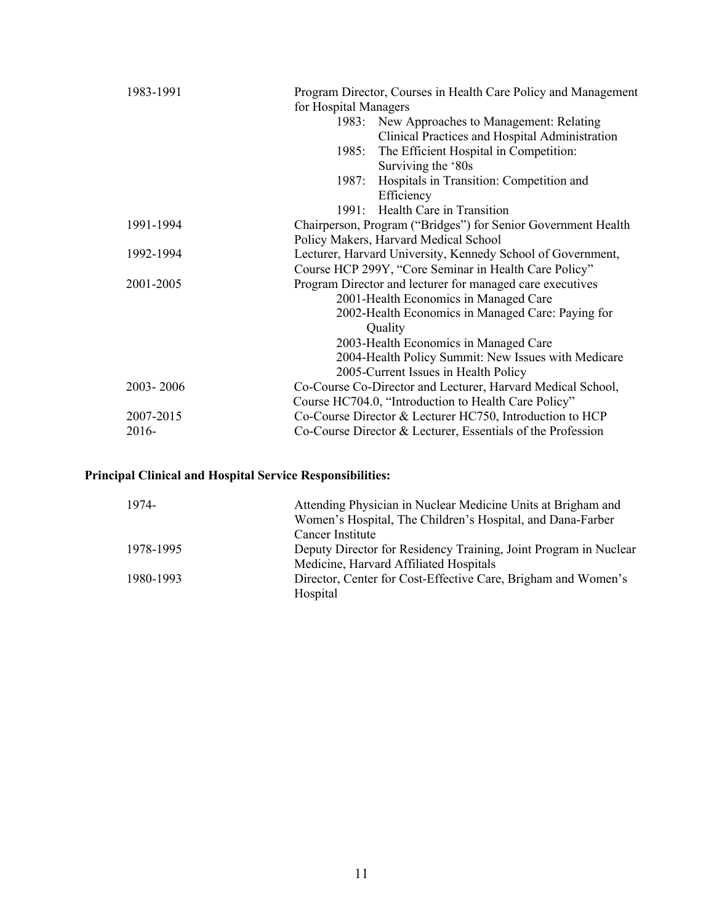| Program Director, Courses in Health Care Policy and Management<br>for Hospital Managers        |
|------------------------------------------------------------------------------------------------|
| 1983: New Approaches to Management: Relating<br>Clinical Practices and Hospital Administration |
| The Efficient Hospital in Competition:<br>1985:                                                |
| Surviving the '80s<br>1987: Hospitals in Transition: Competition and                           |
| Efficiency                                                                                     |
| 1991: Health Care in Transition                                                                |
| Chairperson, Program ("Bridges") for Senior Government Health                                  |
| Policy Makers, Harvard Medical School                                                          |
| Lecturer, Harvard University, Kennedy School of Government,                                    |
| Course HCP 299Y, "Core Seminar in Health Care Policy"                                          |
| Program Director and lecturer for managed care executives                                      |
| 2001-Health Economics in Managed Care                                                          |
| 2002-Health Economics in Managed Care: Paying for                                              |
| Quality                                                                                        |
| 2003-Health Economics in Managed Care                                                          |
| 2004-Health Policy Summit: New Issues with Medicare                                            |
| 2005-Current Issues in Health Policy                                                           |
| Co-Course Co-Director and Lecturer, Harvard Medical School,                                    |
| Course HC704.0, "Introduction to Health Care Policy"                                           |
| Co-Course Director & Lecturer HC750, Introduction to HCP                                       |
| Co-Course Director & Lecturer, Essentials of the Profession                                    |
|                                                                                                |

## **Principal Clinical and Hospital Service Responsibilities:**

| 1974-     | Attending Physician in Nuclear Medicine Units at Brigham and     |
|-----------|------------------------------------------------------------------|
|           | Women's Hospital, The Children's Hospital, and Dana-Farber       |
|           | Cancer Institute                                                 |
| 1978-1995 | Deputy Director for Residency Training, Joint Program in Nuclear |
|           | Medicine, Harvard Affiliated Hospitals                           |
| 1980-1993 | Director, Center for Cost-Effective Care, Brigham and Women's    |
|           | Hospital                                                         |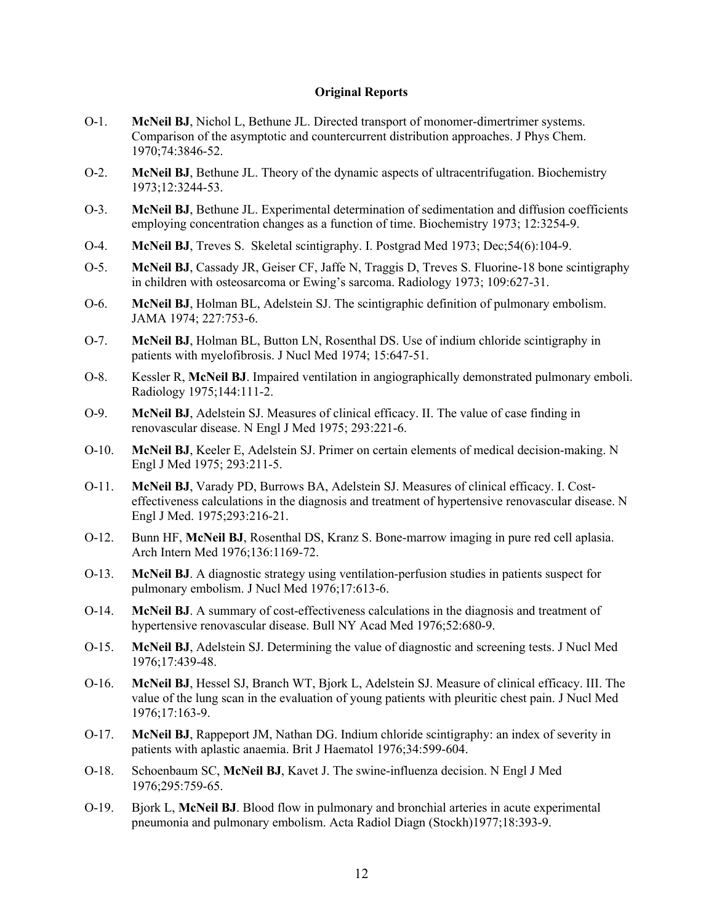#### **Original Reports**

- O-1. **McNeil BJ**, Nichol L, Bethune JL. Directed transport of monomer-dimertrimer systems. Comparison of the asymptotic and countercurrent distribution approaches. J Phys Chem. 1970;74:3846-52.
- O-2. **McNeil BJ**, Bethune JL. Theory of the dynamic aspects of ultracentrifugation. Biochemistry 1973;12:3244-53.
- O-3. **McNeil BJ**, Bethune JL. Experimental determination of sedimentation and diffusion coefficients employing concentration changes as a function of time. Biochemistry 1973; 12:3254-9.
- O-4. **McNeil BJ**, Treves S. Skeletal scintigraphy. I. Postgrad Med 1973; Dec;54(6):104-9.
- O-5. **McNeil BJ**, Cassady JR, Geiser CF, Jaffe N, Traggis D, Treves S. Fluorine-18 bone scintigraphy in children with osteosarcoma or Ewing's sarcoma. Radiology 1973; 109:627-31.
- O-6. **McNeil BJ**, Holman BL, Adelstein SJ. The scintigraphic definition of pulmonary embolism. JAMA 1974; 227:753-6.
- O-7. **McNeil BJ**, Holman BL, Button LN, Rosenthal DS. Use of indium chloride scintigraphy in patients with myelofibrosis. J Nucl Med 1974; 15:647-51.
- O-8. Kessler R, **McNeil BJ**. Impaired ventilation in angiographically demonstrated pulmonary emboli. Radiology 1975;144:111-2.
- O-9. **McNeil BJ**, Adelstein SJ. Measures of clinical efficacy. II. The value of case finding in renovascular disease. N Engl J Med 1975; 293:221-6.
- O-10. **McNeil BJ**, Keeler E, Adelstein SJ. Primer on certain elements of medical decision-making. N Engl J Med 1975; 293:211-5.
- O-11. **McNeil BJ**, Varady PD, Burrows BA, Adelstein SJ. Measures of clinical efficacy. I. Costeffectiveness calculations in the diagnosis and treatment of hypertensive renovascular disease. N Engl J Med. 1975;293:216-21.
- O-12. Bunn HF, **McNeil BJ**, Rosenthal DS, Kranz S. Bone-marrow imaging in pure red cell aplasia. Arch Intern Med 1976;136:1169-72.
- O-13. **McNeil BJ**. A diagnostic strategy using ventilation-perfusion studies in patients suspect for pulmonary embolism. J Nucl Med 1976;17:613-6.
- O-14. **McNeil BJ**. A summary of cost-effectiveness calculations in the diagnosis and treatment of hypertensive renovascular disease. Bull NY Acad Med 1976;52:680-9.
- O-15. **McNeil BJ**, Adelstein SJ. Determining the value of diagnostic and screening tests. J Nucl Med 1976;17:439-48.
- O-16. **McNeil BJ**, Hessel SJ, Branch WT, Bjork L, Adelstein SJ. Measure of clinical efficacy. III. The value of the lung scan in the evaluation of young patients with pleuritic chest pain. J Nucl Med 1976;17:163-9.
- O-17. **McNeil BJ**, Rappeport JM, Nathan DG. Indium chloride scintigraphy: an index of severity in patients with aplastic anaemia. Brit J Haematol 1976;34:599-604.
- O-18. Schoenbaum SC, **McNeil BJ**, Kavet J. The swine-influenza decision. N Engl J Med 1976;295:759-65.
- O-19. Bjork L, **McNeil BJ**. Blood flow in pulmonary and bronchial arteries in acute experimental pneumonia and pulmonary embolism. Acta Radiol Diagn (Stockh)1977;18:393-9.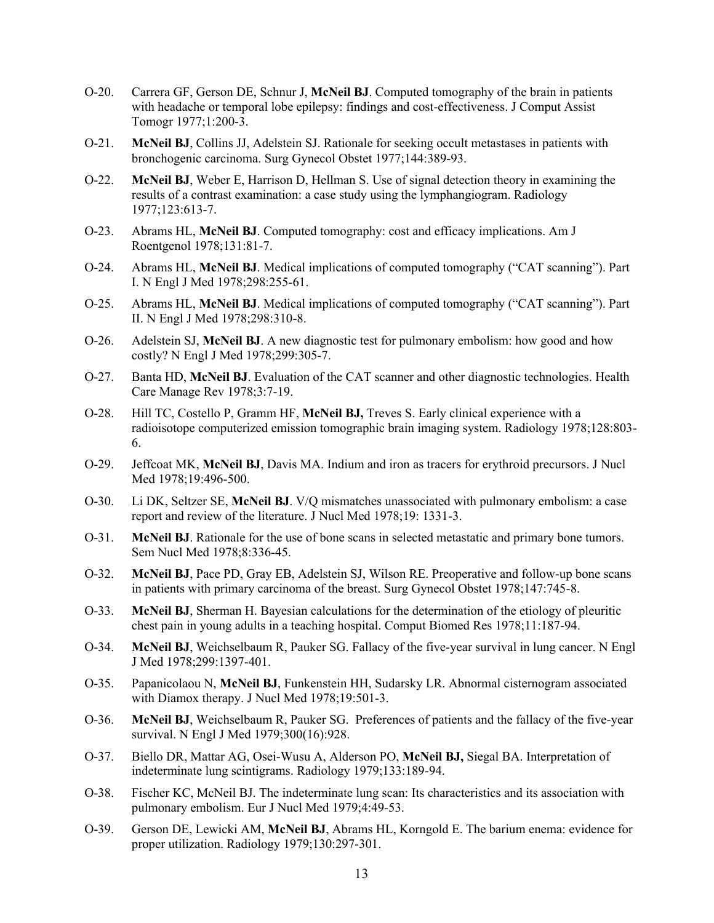- O-20. Carrera GF, Gerson DE, Schnur J, **McNeil BJ**. Computed tomography of the brain in patients with headache or temporal lobe epilepsy: findings and cost-effectiveness. J Comput Assist Tomogr 1977;1:200-3.
- O-21. **McNeil BJ**, Collins JJ, Adelstein SJ. Rationale for seeking occult metastases in patients with bronchogenic carcinoma. Surg Gynecol Obstet 1977;144:389-93.
- O-22. **McNeil BJ**, Weber E, Harrison D, Hellman S. Use of signal detection theory in examining the results of a contrast examination: a case study using the lymphangiogram. Radiology 1977;123:613-7.
- O-23. Abrams HL, **McNeil BJ**. Computed tomography: cost and efficacy implications. Am J Roentgenol 1978;131:81-7.
- O-24. Abrams HL, **McNeil BJ**. Medical implications of computed tomography ("CAT scanning"). Part I. N Engl J Med 1978;298:255-61.
- O-25. Abrams HL, **McNeil BJ**. Medical implications of computed tomography ("CAT scanning"). Part II. N Engl J Med 1978;298:310-8.
- O-26. Adelstein SJ, **McNeil BJ**. A new diagnostic test for pulmonary embolism: how good and how costly? N Engl J Med 1978;299:305-7.
- O-27. Banta HD, **McNeil BJ**. Evaluation of the CAT scanner and other diagnostic technologies. Health Care Manage Rev 1978;3:7-19.
- O-28. Hill TC, Costello P, Gramm HF, **McNeil BJ,** Treves S. Early clinical experience with a radioisotope computerized emission tomographic brain imaging system. Radiology 1978;128:803- 6.
- O-29. Jeffcoat MK, **McNeil BJ**, Davis MA. Indium and iron as tracers for erythroid precursors. J Nucl Med 1978;19:496-500.
- O-30. Li DK, Seltzer SE, **McNeil BJ**. V/Q mismatches unassociated with pulmonary embolism: a case report and review of the literature. J Nucl Med 1978;19: 1331-3.
- O-31. **McNeil BJ**. Rationale for the use of bone scans in selected metastatic and primary bone tumors. Sem Nucl Med 1978;8:336-45.
- O-32. **McNeil BJ**, Pace PD, Gray EB, Adelstein SJ, Wilson RE. Preoperative and follow-up bone scans in patients with primary carcinoma of the breast. Surg Gynecol Obstet 1978;147:745-8.
- O-33. **McNeil BJ**, Sherman H. Bayesian calculations for the determination of the etiology of pleuritic chest pain in young adults in a teaching hospital. Comput Biomed Res 1978;11:187-94.
- O-34. **McNeil BJ**, Weichselbaum R, Pauker SG. Fallacy of the five-year survival in lung cancer. N Engl J Med 1978;299:1397-401.
- O-35. Papanicolaou N, **McNeil BJ**, Funkenstein HH, Sudarsky LR. Abnormal cisternogram associated with Diamox therapy. J Nucl Med 1978;19:501-3.
- O-36. **McNeil BJ**, Weichselbaum R, Pauker SG. Preferences of patients and the fallacy of the five-year survival. N Engl J Med 1979;300(16):928.
- O-37. Biello DR, Mattar AG, Osei-Wusu A, Alderson PO, **McNeil BJ,** Siegal BA. Interpretation of indeterminate lung scintigrams. Radiology 1979;133:189-94.
- O-38. Fischer KC, McNeil BJ. The indeterminate lung scan: Its characteristics and its association with pulmonary embolism. Eur J Nucl Med 1979;4:49-53.
- O-39. Gerson DE, Lewicki AM, **McNeil BJ**, Abrams HL, Korngold E. The barium enema: evidence for proper utilization. Radiology 1979;130:297-301.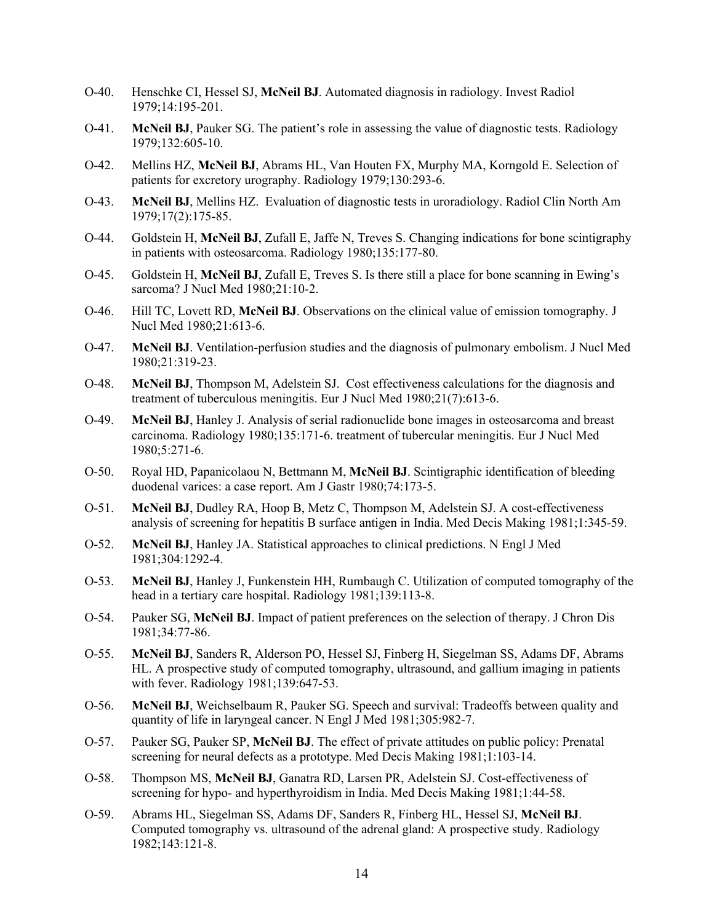- O-40. Henschke CI, Hessel SJ, **McNeil BJ**. Automated diagnosis in radiology. Invest Radiol 1979;14:195-201.
- O-41. **McNeil BJ**, Pauker SG. The patient's role in assessing the value of diagnostic tests. Radiology 1979;132:605-10.
- O-42. Mellins HZ, **McNeil BJ**, Abrams HL, Van Houten FX, Murphy MA, Korngold E. Selection of patients for excretory urography. Radiology 1979;130:293-6.
- O-43. **McNeil BJ**, Mellins HZ. Evaluation of diagnostic tests in uroradiology. Radiol Clin North Am 1979;17(2):175-85.
- O-44. Goldstein H, **McNeil BJ**, Zufall E, Jaffe N, Treves S. Changing indications for bone scintigraphy in patients with osteosarcoma. Radiology 1980;135:177-80.
- O-45. Goldstein H, **McNeil BJ**, Zufall E, Treves S. Is there still a place for bone scanning in Ewing's sarcoma? J Nucl Med 1980;21:10-2.
- O-46. Hill TC, Lovett RD, **McNeil BJ**. Observations on the clinical value of emission tomography. J Nucl Med 1980;21:613-6.
- O-47. **McNeil BJ**. Ventilation-perfusion studies and the diagnosis of pulmonary embolism. J Nucl Med 1980;21:319-23.
- O-48. **McNeil BJ**, Thompson M, Adelstein SJ. Cost effectiveness calculations for the diagnosis and treatment of tuberculous meningitis. Eur J Nucl Med 1980;21(7):613-6.
- O-49. **McNeil BJ**, Hanley J. Analysis of serial radionuclide bone images in osteosarcoma and breast carcinoma. Radiology 1980;135:171-6. treatment of tubercular meningitis. Eur J Nucl Med 1980;5:271-6.
- O-50. Royal HD, Papanicolaou N, Bettmann M, **McNeil BJ**. Scintigraphic identification of bleeding duodenal varices: a case report. Am J Gastr 1980;74:173-5.
- O-51. **McNeil BJ**, Dudley RA, Hoop B, Metz C, Thompson M, Adelstein SJ. A cost-effectiveness analysis of screening for hepatitis B surface antigen in India. Med Decis Making 1981;1:345-59.
- O-52. **McNeil BJ**, Hanley JA. Statistical approaches to clinical predictions. N Engl J Med 1981;304:1292-4.
- O-53. **McNeil BJ**, Hanley J, Funkenstein HH, Rumbaugh C. Utilization of computed tomography of the head in a tertiary care hospital. Radiology 1981;139:113-8.
- O-54. Pauker SG, **McNeil BJ**. Impact of patient preferences on the selection of therapy. J Chron Dis 1981;34:77-86.
- O-55. **McNeil BJ**, Sanders R, Alderson PO, Hessel SJ, Finberg H, Siegelman SS, Adams DF, Abrams HL. A prospective study of computed tomography, ultrasound, and gallium imaging in patients with fever. Radiology 1981;139:647-53.
- O-56. **McNeil BJ**, Weichselbaum R, Pauker SG. Speech and survival: Tradeoffs between quality and quantity of life in laryngeal cancer. N Engl J Med 1981;305:982-7.
- O-57. Pauker SG, Pauker SP, **McNeil BJ**. The effect of private attitudes on public policy: Prenatal screening for neural defects as a prototype. Med Decis Making 1981;1:103-14.
- O-58. Thompson MS, **McNeil BJ**, Ganatra RD, Larsen PR, Adelstein SJ. Cost-effectiveness of screening for hypo- and hyperthyroidism in India. Med Decis Making 1981;1:44-58.
- O-59. Abrams HL, Siegelman SS, Adams DF, Sanders R, Finberg HL, Hessel SJ, **McNeil BJ**. Computed tomography vs. ultrasound of the adrenal gland: A prospective study. Radiology 1982;143:121-8.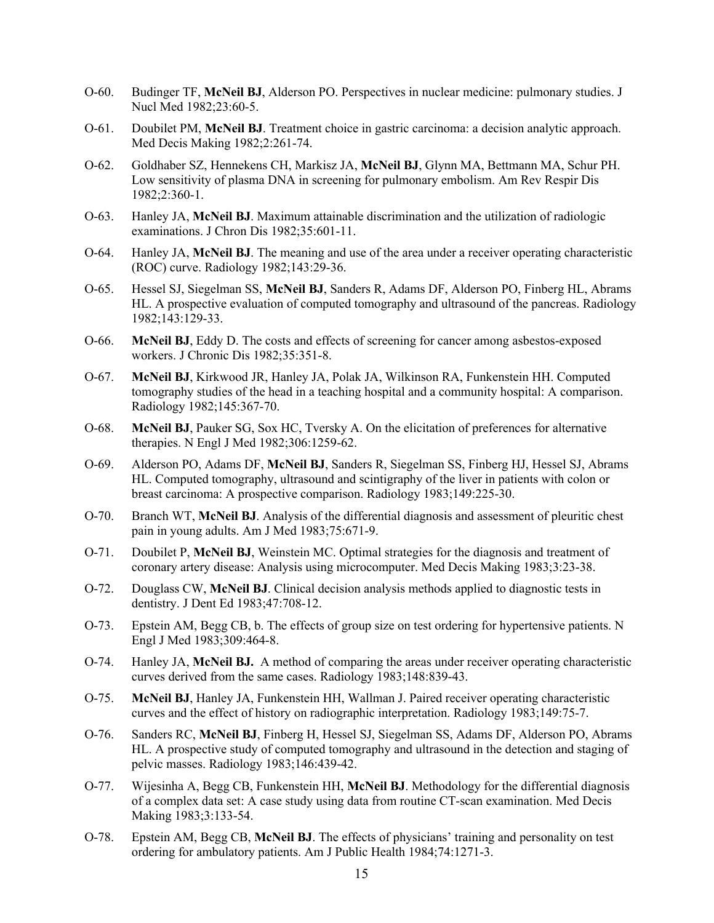- O-60. Budinger TF, **McNeil BJ**, Alderson PO. Perspectives in nuclear medicine: pulmonary studies. J Nucl Med 1982;23:60-5.
- O-61. Doubilet PM, **McNeil BJ**. Treatment choice in gastric carcinoma: a decision analytic approach. Med Decis Making 1982;2:261-74.
- O-62. Goldhaber SZ, Hennekens CH, Markisz JA, **McNeil BJ**, Glynn MA, Bettmann MA, Schur PH. Low sensitivity of plasma DNA in screening for pulmonary embolism. Am Rev Respir Dis 1982;2:360-1.
- O-63. Hanley JA, **McNeil BJ**. Maximum attainable discrimination and the utilization of radiologic examinations. J Chron Dis 1982;35:601-11.
- O-64. Hanley JA, **McNeil BJ**. The meaning and use of the area under a receiver operating characteristic (ROC) curve. Radiology 1982;143:29-36.
- O-65. Hessel SJ, Siegelman SS, **McNeil BJ**, Sanders R, Adams DF, Alderson PO, Finberg HL, Abrams HL. A prospective evaluation of computed tomography and ultrasound of the pancreas. Radiology 1982;143:129-33.
- O-66. **McNeil BJ**, Eddy D. The costs and effects of screening for cancer among asbestos-exposed workers. J Chronic Dis 1982;35:351-8.
- O-67. **McNeil BJ**, Kirkwood JR, Hanley JA, Polak JA, Wilkinson RA, Funkenstein HH. Computed tomography studies of the head in a teaching hospital and a community hospital: A comparison. Radiology 1982;145:367-70.
- O-68. **McNeil BJ**, Pauker SG, Sox HC, Tversky A. On the elicitation of preferences for alternative therapies. N Engl J Med 1982;306:1259-62.
- O-69. Alderson PO, Adams DF, **McNeil BJ**, Sanders R, Siegelman SS, Finberg HJ, Hessel SJ, Abrams HL. Computed tomography, ultrasound and scintigraphy of the liver in patients with colon or breast carcinoma: A prospective comparison. Radiology 1983;149:225-30.
- O-70. Branch WT, **McNeil BJ**. Analysis of the differential diagnosis and assessment of pleuritic chest pain in young adults. Am J Med 1983;75:671-9.
- O-71. Doubilet P, **McNeil BJ**, Weinstein MC. Optimal strategies for the diagnosis and treatment of coronary artery disease: Analysis using microcomputer. Med Decis Making 1983;3:23-38.
- O-72. Douglass CW, **McNeil BJ**. Clinical decision analysis methods applied to diagnostic tests in dentistry. J Dent Ed 1983;47:708-12.
- O-73. Epstein AM, Begg CB, b. The effects of group size on test ordering for hypertensive patients. N Engl J Med 1983;309:464-8.
- O-74. Hanley JA, **McNeil BJ.** A method of comparing the areas under receiver operating characteristic curves derived from the same cases. Radiology 1983;148:839-43.
- O-75. **McNeil BJ**, Hanley JA, Funkenstein HH, Wallman J. Paired receiver operating characteristic curves and the effect of history on radiographic interpretation. Radiology 1983;149:75-7.
- O-76. Sanders RC, **McNeil BJ**, Finberg H, Hessel SJ, Siegelman SS, Adams DF, Alderson PO, Abrams HL. A prospective study of computed tomography and ultrasound in the detection and staging of pelvic masses. Radiology 1983;146:439-42.
- O-77. Wijesinha A, Begg CB, Funkenstein HH, **McNeil BJ**. Methodology for the differential diagnosis of a complex data set: A case study using data from routine CT-scan examination. Med Decis Making 1983;3:133-54.
- O-78. Epstein AM, Begg CB, **McNeil BJ**. The effects of physicians' training and personality on test ordering for ambulatory patients. Am J Public Health 1984;74:1271-3.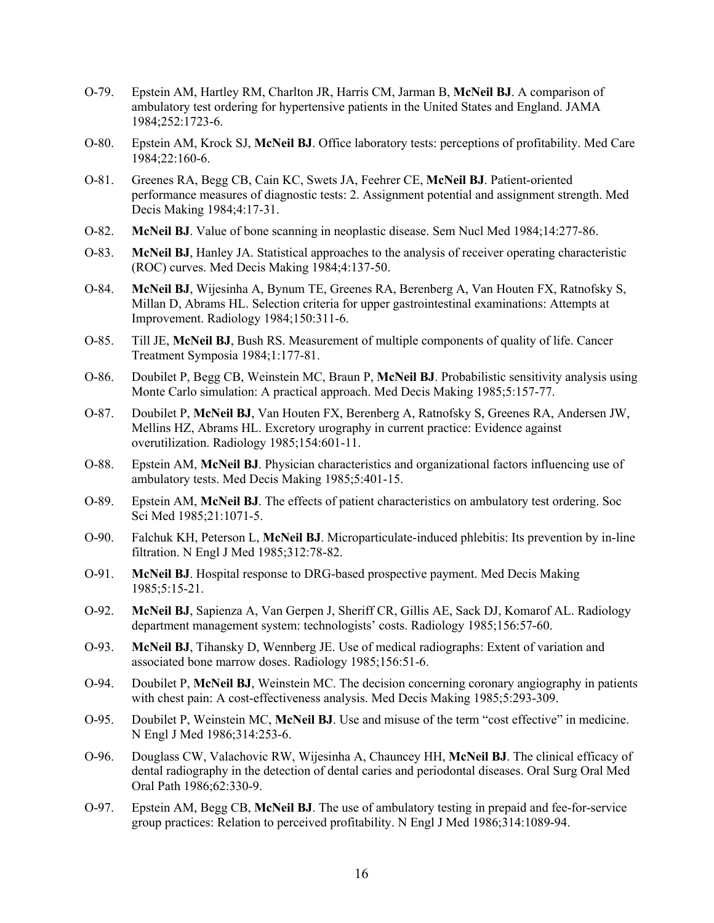- O-79. Epstein AM, Hartley RM, Charlton JR, Harris CM, Jarman B, **McNeil BJ**. A comparison of ambulatory test ordering for hypertensive patients in the United States and England. JAMA 1984;252:1723-6.
- O-80. Epstein AM, Krock SJ, **McNeil BJ**. Office laboratory tests: perceptions of profitability. Med Care 1984;22:160-6.
- O-81. Greenes RA, Begg CB, Cain KC, Swets JA, Feehrer CE, **McNeil BJ**. Patient-oriented performance measures of diagnostic tests: 2. Assignment potential and assignment strength. Med Decis Making 1984;4:17-31.
- O-82. **McNeil BJ**. Value of bone scanning in neoplastic disease. Sem Nucl Med 1984;14:277-86.
- O-83. **McNeil BJ**, Hanley JA. Statistical approaches to the analysis of receiver operating characteristic (ROC) curves. Med Decis Making 1984;4:137-50.
- O-84. **McNeil BJ**, Wijesinha A, Bynum TE, Greenes RA, Berenberg A, Van Houten FX, Ratnofsky S, Millan D, Abrams HL. Selection criteria for upper gastrointestinal examinations: Attempts at Improvement. Radiology 1984;150:311-6.
- O-85. Till JE, **McNeil BJ**, Bush RS. Measurement of multiple components of quality of life. Cancer Treatment Symposia 1984;1:177-81.
- O-86. Doubilet P, Begg CB, Weinstein MC, Braun P, **McNeil BJ**. Probabilistic sensitivity analysis using Monte Carlo simulation: A practical approach. Med Decis Making 1985;5:157-77.
- O-87. Doubilet P, **McNeil BJ**, Van Houten FX, Berenberg A, Ratnofsky S, Greenes RA, Andersen JW, Mellins HZ, Abrams HL. Excretory urography in current practice: Evidence against overutilization. Radiology 1985;154:601-11.
- O-88. Epstein AM, **McNeil BJ**. Physician characteristics and organizational factors influencing use of ambulatory tests. Med Decis Making 1985;5:401-15.
- O-89. Epstein AM, **McNeil BJ**. The effects of patient characteristics on ambulatory test ordering. Soc Sci Med 1985;21:1071-5.
- O-90. Falchuk KH, Peterson L, **McNeil BJ**. Microparticulate-induced phlebitis: Its prevention by in-line filtration. N Engl J Med 1985;312:78-82.
- O-91. **McNeil BJ**. Hospital response to DRG-based prospective payment. Med Decis Making 1985;5:15-21.
- O-92. **McNeil BJ**, Sapienza A, Van Gerpen J, Sheriff CR, Gillis AE, Sack DJ, Komarof AL. Radiology department management system: technologists' costs. Radiology 1985;156:57-60.
- O-93. **McNeil BJ**, Tihansky D, Wennberg JE. Use of medical radiographs: Extent of variation and associated bone marrow doses. Radiology 1985;156:51-6.
- O-94. Doubilet P, **McNeil BJ**, Weinstein MC. The decision concerning coronary angiography in patients with chest pain: A cost-effectiveness analysis. Med Decis Making 1985;5:293-309.
- O-95. Doubilet P, Weinstein MC, **McNeil BJ**. Use and misuse of the term "cost effective" in medicine. N Engl J Med 1986;314:253-6.
- O-96. Douglass CW, Valachovic RW, Wijesinha A, Chauncey HH, **McNeil BJ**. The clinical efficacy of dental radiography in the detection of dental caries and periodontal diseases. Oral Surg Oral Med Oral Path 1986;62:330-9.
- O-97. Epstein AM, Begg CB, **McNeil BJ**. The use of ambulatory testing in prepaid and fee-for-service group practices: Relation to perceived profitability. N Engl J Med 1986;314:1089-94.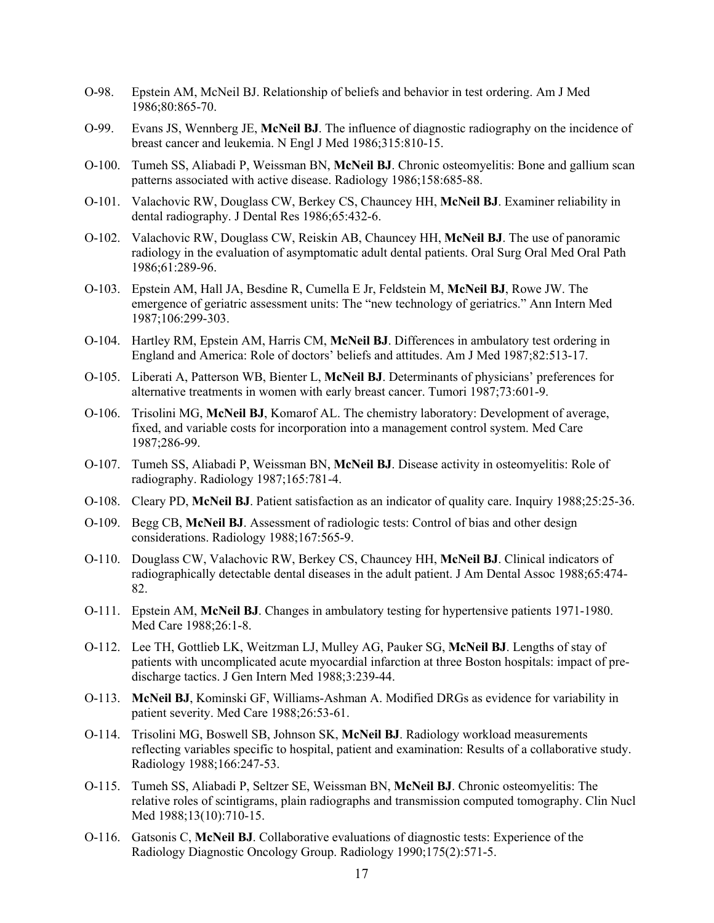- O-98. Epstein AM, McNeil BJ. Relationship of beliefs and behavior in test ordering. Am J Med 1986;80:865-70.
- O-99. Evans JS, Wennberg JE, **McNeil BJ**. The influence of diagnostic radiography on the incidence of breast cancer and leukemia. N Engl J Med 1986;315:810-15.
- O-100. Tumeh SS, Aliabadi P, Weissman BN, **McNeil BJ**. Chronic osteomyelitis: Bone and gallium scan patterns associated with active disease. Radiology 1986;158:685-88.
- O-101. Valachovic RW, Douglass CW, Berkey CS, Chauncey HH, **McNeil BJ**. Examiner reliability in dental radiography. J Dental Res 1986;65:432-6.
- O-102. Valachovic RW, Douglass CW, Reiskin AB, Chauncey HH, **McNeil BJ**. The use of panoramic radiology in the evaluation of asymptomatic adult dental patients. Oral Surg Oral Med Oral Path 1986;61:289-96.
- O-103. Epstein AM, Hall JA, Besdine R, Cumella E Jr, Feldstein M, **McNeil BJ**, Rowe JW. The emergence of geriatric assessment units: The "new technology of geriatrics." Ann Intern Med 1987;106:299-303.
- O-104. Hartley RM, Epstein AM, Harris CM, **McNeil BJ**. Differences in ambulatory test ordering in England and America: Role of doctors' beliefs and attitudes. Am J Med 1987;82:513-17.
- O-105. Liberati A, Patterson WB, Bienter L, **McNeil BJ**. Determinants of physicians' preferences for alternative treatments in women with early breast cancer. Tumori 1987;73:601-9.
- O-106. Trisolini MG, **McNeil BJ**, Komarof AL. The chemistry laboratory: Development of average, fixed, and variable costs for incorporation into a management control system. Med Care 1987;286-99.
- O-107. Tumeh SS, Aliabadi P, Weissman BN, **McNeil BJ**. Disease activity in osteomyelitis: Role of radiography. Radiology 1987;165:781-4.
- O-108. Cleary PD, **McNeil BJ**. Patient satisfaction as an indicator of quality care. Inquiry 1988;25:25-36.
- O-109. Begg CB, **McNeil BJ**. Assessment of radiologic tests: Control of bias and other design considerations. Radiology 1988;167:565-9.
- O-110. Douglass CW, Valachovic RW, Berkey CS, Chauncey HH, **McNeil BJ**. Clinical indicators of radiographically detectable dental diseases in the adult patient. J Am Dental Assoc 1988;65:474- 82.
- O-111. Epstein AM, **McNeil BJ**. Changes in ambulatory testing for hypertensive patients 1971-1980. Med Care 1988;26:1-8.
- O-112. Lee TH, Gottlieb LK, Weitzman LJ, Mulley AG, Pauker SG, **McNeil BJ**. Lengths of stay of patients with uncomplicated acute myocardial infarction at three Boston hospitals: impact of predischarge tactics. J Gen Intern Med 1988;3:239-44.
- O-113. **McNeil BJ**, Kominski GF, Williams-Ashman A. Modified DRGs as evidence for variability in patient severity. Med Care 1988;26:53-61.
- O-114. Trisolini MG, Boswell SB, Johnson SK, **McNeil BJ**. Radiology workload measurements reflecting variables specific to hospital, patient and examination: Results of a collaborative study. Radiology 1988;166:247-53.
- O-115. Tumeh SS, Aliabadi P, Seltzer SE, Weissman BN, **McNeil BJ**. Chronic osteomyelitis: The relative roles of scintigrams, plain radiographs and transmission computed tomography. Clin Nucl Med 1988;13(10):710-15.
- O-116. Gatsonis C, **McNeil BJ**. Collaborative evaluations of diagnostic tests: Experience of the Radiology Diagnostic Oncology Group. Radiology 1990;175(2):571-5.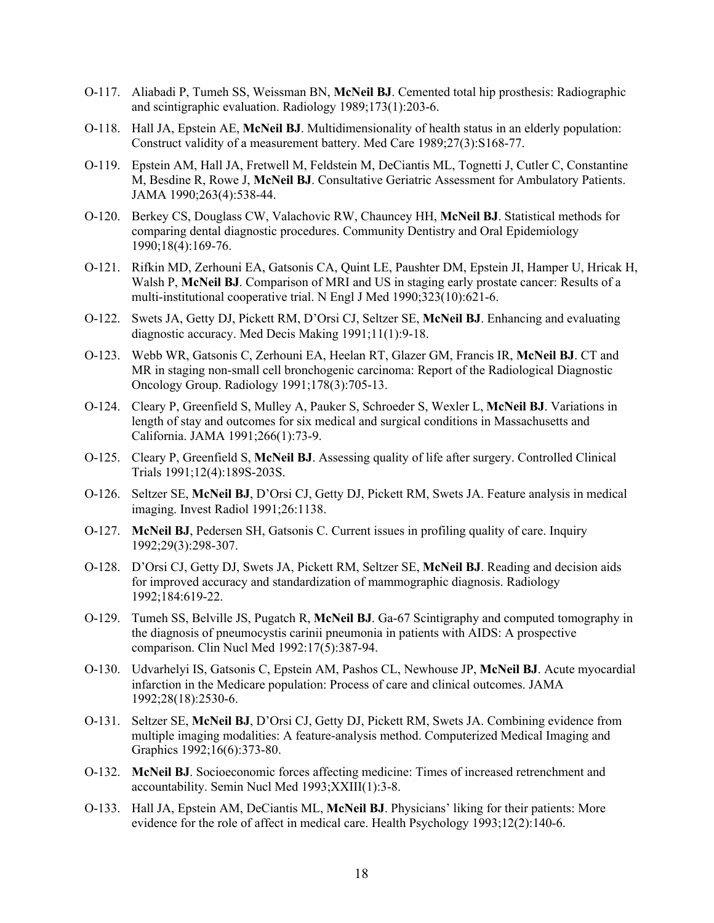- O-117. Aliabadi P, Tumeh SS, Weissman BN, **McNeil BJ**. Cemented total hip prosthesis: Radiographic and scintigraphic evaluation. Radiology 1989;173(1):203-6.
- O-118. Hall JA, Epstein AE, **McNeil BJ**. Multidimensionality of health status in an elderly population: Construct validity of a measurement battery. Med Care 1989;27(3):S168-77.
- O-119. Epstein AM, Hall JA, Fretwell M, Feldstein M, DeCiantis ML, Tognetti J, Cutler C, Constantine M, Besdine R, Rowe J, **McNeil BJ**. Consultative Geriatric Assessment for Ambulatory Patients. JAMA 1990;263(4):538-44.
- O-120. Berkey CS, Douglass CW, Valachovic RW, Chauncey HH, **McNeil BJ**. Statistical methods for comparing dental diagnostic procedures. Community Dentistry and Oral Epidemiology 1990;18(4):169-76.
- O-121. Rifkin MD, Zerhouni EA, Gatsonis CA, Quint LE, Paushter DM, Epstein JI, Hamper U, Hricak H, Walsh P, **McNeil BJ**. Comparison of MRI and US in staging early prostate cancer: Results of a multi-institutional cooperative trial. N Engl J Med 1990;323(10):621-6.
- O-122. Swets JA, Getty DJ, Pickett RM, D'Orsi CJ, Seltzer SE, **McNeil BJ**. Enhancing and evaluating diagnostic accuracy. Med Decis Making 1991;11(1):9-18.
- O-123. Webb WR, Gatsonis C, Zerhouni EA, Heelan RT, Glazer GM, Francis IR, **McNeil BJ**. CT and MR in staging non-small cell bronchogenic carcinoma: Report of the Radiological Diagnostic Oncology Group. Radiology 1991;178(3):705-13.
- O-124. Cleary P, Greenfield S, Mulley A, Pauker S, Schroeder S, Wexler L, **McNeil BJ**. Variations in length of stay and outcomes for six medical and surgical conditions in Massachusetts and California. JAMA 1991;266(1):73-9.
- O-125. Cleary P, Greenfield S, **McNeil BJ**. Assessing quality of life after surgery. Controlled Clinical Trials 1991;12(4):189S-203S.
- O-126. Seltzer SE, **McNeil BJ**, D'Orsi CJ, Getty DJ, Pickett RM, Swets JA. Feature analysis in medical imaging. Invest Radiol 1991;26:1138.
- O-127. **McNeil BJ**, Pedersen SH, Gatsonis C. Current issues in profiling quality of care. Inquiry 1992;29(3):298-307.
- O-128. D'Orsi CJ, Getty DJ, Swets JA, Pickett RM, Seltzer SE, **McNeil BJ**. Reading and decision aids for improved accuracy and standardization of mammographic diagnosis. Radiology 1992;184:619-22.
- O-129. Tumeh SS, Belville JS, Pugatch R, **McNeil BJ**. Ga-67 Scintigraphy and computed tomography in the diagnosis of pneumocystis carinii pneumonia in patients with AIDS: A prospective comparison. Clin Nucl Med 1992:17(5):387-94.
- O-130. Udvarhelyi IS, Gatsonis C, Epstein AM, Pashos CL, Newhouse JP, **McNeil BJ**. Acute myocardial infarction in the Medicare population: Process of care and clinical outcomes. JAMA 1992;28(18):2530-6.
- O-131. Seltzer SE, **McNeil BJ**, D'Orsi CJ, Getty DJ, Pickett RM, Swets JA. Combining evidence from multiple imaging modalities: A feature-analysis method. Computerized Medical Imaging and Graphics 1992;16(6):373-80.
- O-132. **McNeil BJ**. Socioeconomic forces affecting medicine: Times of increased retrenchment and accountability. Semin Nucl Med 1993;XXIII(1):3-8.
- O-133. Hall JA, Epstein AM, DeCiantis ML, **McNeil BJ**. Physicians' liking for their patients: More evidence for the role of affect in medical care. Health Psychology 1993;12(2):140-6.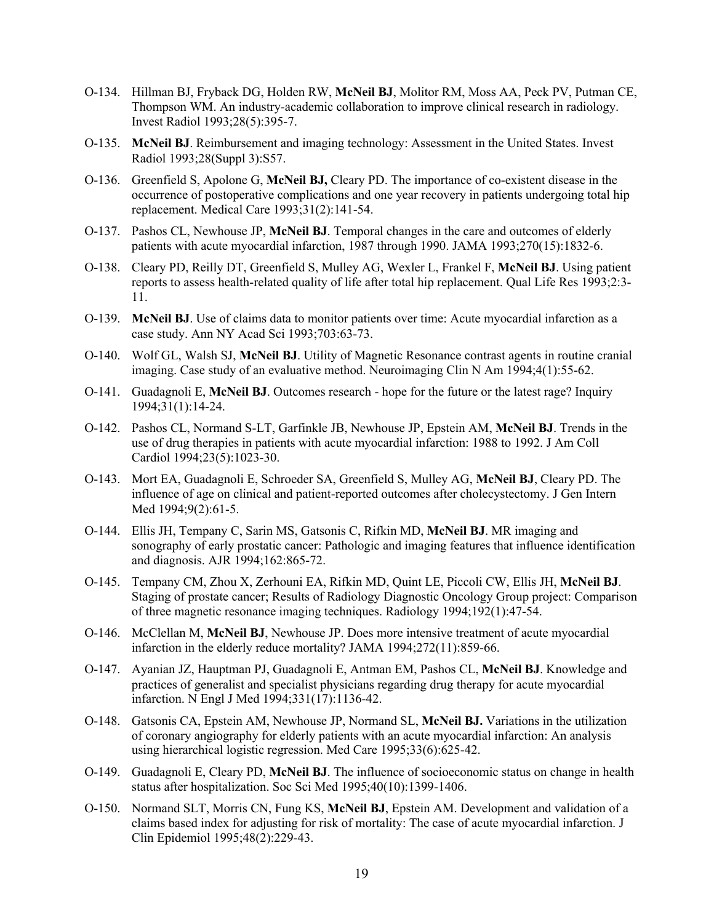- O-134. Hillman BJ, Fryback DG, Holden RW, **McNeil BJ**, Molitor RM, Moss AA, Peck PV, Putman CE, Thompson WM. An industry-academic collaboration to improve clinical research in radiology. Invest Radiol 1993;28(5):395-7.
- O-135. **McNeil BJ**. Reimbursement and imaging technology: Assessment in the United States. Invest Radiol 1993;28(Suppl 3):S57.
- O-136. Greenfield S, Apolone G, **McNeil BJ,** Cleary PD. The importance of co-existent disease in the occurrence of postoperative complications and one year recovery in patients undergoing total hip replacement. Medical Care 1993;31(2):141-54.
- O-137. Pashos CL, Newhouse JP, **McNeil BJ**. Temporal changes in the care and outcomes of elderly patients with acute myocardial infarction, 1987 through 1990. JAMA 1993;270(15):1832-6.
- O-138. Cleary PD, Reilly DT, Greenfield S, Mulley AG, Wexler L, Frankel F, **McNeil BJ**. Using patient reports to assess health-related quality of life after total hip replacement. Qual Life Res 1993;2:3- 11.
- O-139. **McNeil BJ**. Use of claims data to monitor patients over time: Acute myocardial infarction as a case study. Ann NY Acad Sci 1993;703:63-73.
- O-140. Wolf GL, Walsh SJ, **McNeil BJ**. Utility of Magnetic Resonance contrast agents in routine cranial imaging. Case study of an evaluative method. Neuroimaging Clin N Am 1994;4(1):55-62.
- O-141. Guadagnoli E, **McNeil BJ**. Outcomes research hope for the future or the latest rage? Inquiry 1994;31(1):14-24.
- O-142. Pashos CL, Normand S-LT, Garfinkle JB, Newhouse JP, Epstein AM, **McNeil BJ**. Trends in the use of drug therapies in patients with acute myocardial infarction: 1988 to 1992. J Am Coll Cardiol 1994;23(5):1023-30.
- O-143. Mort EA, Guadagnoli E, Schroeder SA, Greenfield S, Mulley AG, **McNeil BJ**, Cleary PD. The influence of age on clinical and patient-reported outcomes after cholecystectomy. J Gen Intern Med 1994;9(2):61-5.
- O-144. Ellis JH, Tempany C, Sarin MS, Gatsonis C, Rifkin MD, **McNeil BJ**. MR imaging and sonography of early prostatic cancer: Pathologic and imaging features that influence identification and diagnosis. AJR 1994;162:865-72.
- O-145. Tempany CM, Zhou X, Zerhouni EA, Rifkin MD, Quint LE, Piccoli CW, Ellis JH, **McNeil BJ**. Staging of prostate cancer; Results of Radiology Diagnostic Oncology Group project: Comparison of three magnetic resonance imaging techniques. Radiology 1994;192(1):47-54.
- O-146. McClellan M, **McNeil BJ**, Newhouse JP. Does more intensive treatment of acute myocardial infarction in the elderly reduce mortality? JAMA 1994;272(11):859-66.
- O-147. Ayanian JZ, Hauptman PJ, Guadagnoli E, Antman EM, Pashos CL, **McNeil BJ**. Knowledge and practices of generalist and specialist physicians regarding drug therapy for acute myocardial infarction. N Engl J Med 1994;331(17):1136-42.
- O-148. Gatsonis CA, Epstein AM, Newhouse JP, Normand SL, **McNeil BJ.** Variations in the utilization of coronary angiography for elderly patients with an acute myocardial infarction: An analysis using hierarchical logistic regression. Med Care 1995;33(6):625-42.
- O-149. Guadagnoli E, Cleary PD, **McNeil BJ**. The influence of socioeconomic status on change in health status after hospitalization. Soc Sci Med 1995;40(10):1399-1406.
- O-150. Normand SLT, Morris CN, Fung KS, **McNeil BJ**, Epstein AM. Development and validation of a claims based index for adjusting for risk of mortality: The case of acute myocardial infarction. J Clin Epidemiol 1995;48(2):229-43.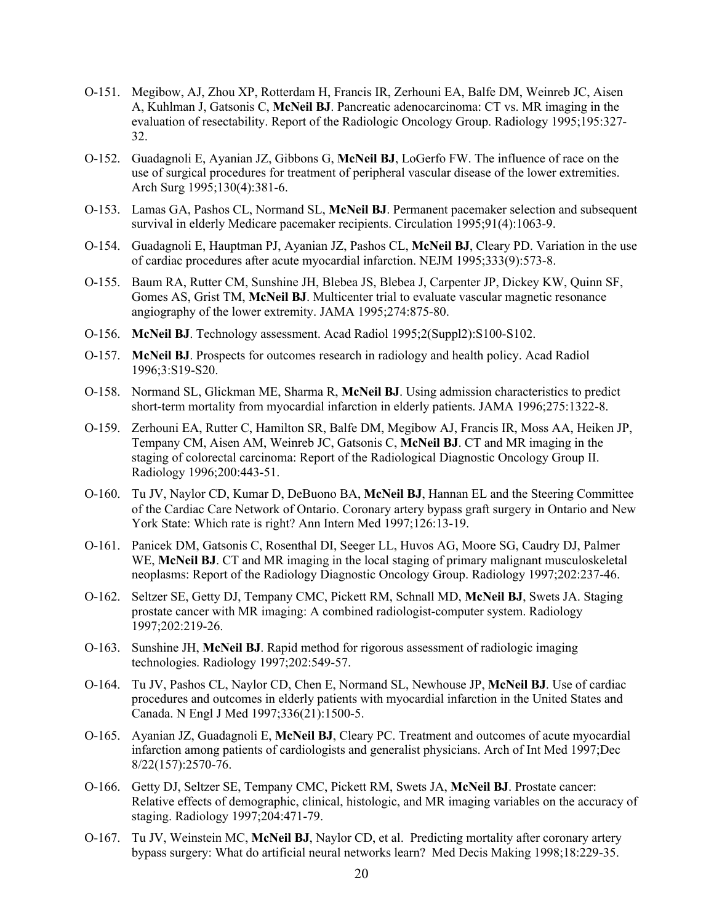- O-151. Megibow, AJ, Zhou XP, Rotterdam H, Francis IR, Zerhouni EA, Balfe DM, Weinreb JC, Aisen A, Kuhlman J, Gatsonis C, **McNeil BJ**. Pancreatic adenocarcinoma: CT vs. MR imaging in the evaluation of resectability. Report of the Radiologic Oncology Group. Radiology 1995;195:327- 32.
- O-152. Guadagnoli E, Ayanian JZ, Gibbons G, **McNeil BJ**, LoGerfo FW. The influence of race on the use of surgical procedures for treatment of peripheral vascular disease of the lower extremities. Arch Surg 1995;130(4):381-6.
- O-153. Lamas GA, Pashos CL, Normand SL, **McNeil BJ**. Permanent pacemaker selection and subsequent survival in elderly Medicare pacemaker recipients. Circulation 1995;91(4):1063-9.
- O-154. Guadagnoli E, Hauptman PJ, Ayanian JZ, Pashos CL, **McNeil BJ**, Cleary PD. Variation in the use of cardiac procedures after acute myocardial infarction. NEJM 1995;333(9):573-8.
- O-155. Baum RA, Rutter CM, Sunshine JH, Blebea JS, Blebea J, Carpenter JP, Dickey KW, Quinn SF, Gomes AS, Grist TM, **McNeil BJ**. Multicenter trial to evaluate vascular magnetic resonance angiography of the lower extremity. JAMA 1995;274:875-80.
- O-156. **McNeil BJ**. Technology assessment. Acad Radiol 1995;2(Suppl2):S100-S102.
- O-157. **McNeil BJ**. Prospects for outcomes research in radiology and health policy. Acad Radiol 1996;3:S19-S20.
- O-158. Normand SL, Glickman ME, Sharma R, **McNeil BJ**. Using admission characteristics to predict short-term mortality from myocardial infarction in elderly patients. JAMA 1996;275:1322-8.
- O-159. Zerhouni EA, Rutter C, Hamilton SR, Balfe DM, Megibow AJ, Francis IR, Moss AA, Heiken JP, Tempany CM, Aisen AM, Weinreb JC, Gatsonis C, **McNeil BJ**. CT and MR imaging in the staging of colorectal carcinoma: Report of the Radiological Diagnostic Oncology Group II. Radiology 1996;200:443-51.
- O-160. Tu JV, Naylor CD, Kumar D, DeBuono BA, **McNeil BJ**, Hannan EL and the Steering Committee of the Cardiac Care Network of Ontario. Coronary artery bypass graft surgery in Ontario and New York State: Which rate is right? Ann Intern Med 1997;126:13-19.
- O-161. Panicek DM, Gatsonis C, Rosenthal DI, Seeger LL, Huvos AG, Moore SG, Caudry DJ, Palmer WE, **McNeil BJ**. CT and MR imaging in the local staging of primary malignant musculoskeletal neoplasms: Report of the Radiology Diagnostic Oncology Group. Radiology 1997;202:237-46.
- O-162. Seltzer SE, Getty DJ, Tempany CMC, Pickett RM, Schnall MD, **McNeil BJ**, Swets JA. Staging prostate cancer with MR imaging: A combined radiologist-computer system. Radiology 1997;202:219-26.
- O-163. Sunshine JH, **McNeil BJ**. Rapid method for rigorous assessment of radiologic imaging technologies. Radiology 1997;202:549-57.
- O-164. Tu JV, Pashos CL, Naylor CD, Chen E, Normand SL, Newhouse JP, **McNeil BJ**. Use of cardiac procedures and outcomes in elderly patients with myocardial infarction in the United States and Canada. N Engl J Med 1997;336(21):1500-5.
- O-165. Ayanian JZ, Guadagnoli E, **McNeil BJ**, Cleary PC. Treatment and outcomes of acute myocardial infarction among patients of cardiologists and generalist physicians. Arch of Int Med 1997;Dec 8/22(157):2570-76.
- O-166. Getty DJ, Seltzer SE, Tempany CMC, Pickett RM, Swets JA, **McNeil BJ**. Prostate cancer: Relative effects of demographic, clinical, histologic, and MR imaging variables on the accuracy of staging. Radiology 1997;204:471-79.
- O-167. Tu JV, Weinstein MC, **McNeil BJ**, Naylor CD, et al. Predicting mortality after coronary artery bypass surgery: What do artificial neural networks learn? Med Decis Making 1998;18:229-35.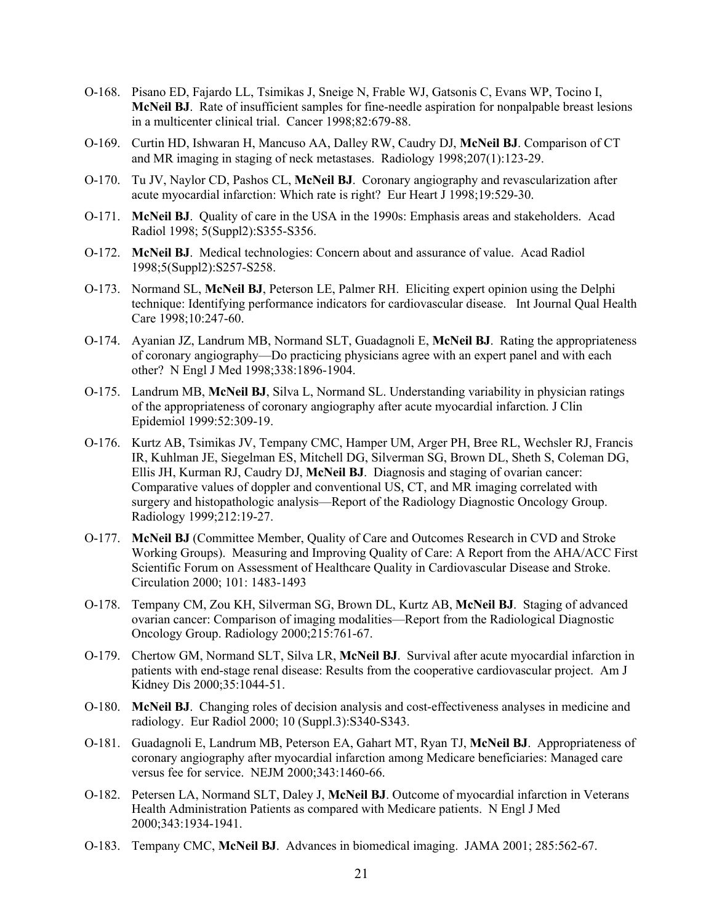- O-168. Pisano ED, Fajardo LL, Tsimikas J, Sneige N, Frable WJ, Gatsonis C, Evans WP, Tocino I, **McNeil BJ**. Rate of insufficient samples for fine-needle aspiration for nonpalpable breast lesions in a multicenter clinical trial. Cancer 1998;82:679-88.
- O-169. Curtin HD, Ishwaran H, Mancuso AA, Dalley RW, Caudry DJ, **McNeil BJ**. Comparison of CT and MR imaging in staging of neck metastases. Radiology 1998;207(1):123-29.
- O-170. Tu JV, Naylor CD, Pashos CL, **McNeil BJ**. Coronary angiography and revascularization after acute myocardial infarction: Which rate is right? Eur Heart J 1998;19:529-30.
- O-171. **McNeil BJ**. Quality of care in the USA in the 1990s: Emphasis areas and stakeholders. Acad Radiol 1998; 5(Suppl2):S355-S356.
- O-172. **McNeil BJ**. Medical technologies: Concern about and assurance of value. Acad Radiol 1998;5(Suppl2):S257-S258.
- O-173. Normand SL, **McNeil BJ**, Peterson LE, Palmer RH. Eliciting expert opinion using the Delphi technique: Identifying performance indicators for cardiovascular disease. Int Journal Qual Health Care 1998;10:247-60.
- O-174. Ayanian JZ, Landrum MB, Normand SLT, Guadagnoli E, **McNeil BJ**. Rating the appropriateness of coronary angiography—Do practicing physicians agree with an expert panel and with each other? N Engl J Med 1998;338:1896-1904.
- O-175. Landrum MB, **McNeil BJ**, Silva L, Normand SL. Understanding variability in physician ratings of the appropriateness of coronary angiography after acute myocardial infarction. J Clin Epidemiol 1999:52:309-19.
- O-176. Kurtz AB, Tsimikas JV, Tempany CMC, Hamper UM, Arger PH, Bree RL, Wechsler RJ, Francis IR, Kuhlman JE, Siegelman ES, Mitchell DG, Silverman SG, Brown DL, Sheth S, Coleman DG, Ellis JH, Kurman RJ, Caudry DJ, **McNeil BJ**. Diagnosis and staging of ovarian cancer: Comparative values of doppler and conventional US, CT, and MR imaging correlated with surgery and histopathologic analysis—Report of the Radiology Diagnostic Oncology Group. Radiology 1999;212:19-27.
- O-177. **McNeil BJ** (Committee Member, Quality of Care and Outcomes Research in CVD and Stroke Working Groups). Measuring and Improving Quality of Care: A Report from the AHA/ACC First Scientific Forum on Assessment of Healthcare Quality in Cardiovascular Disease and Stroke. Circulation 2000; 101: 1483-1493
- O-178. Tempany CM, Zou KH, Silverman SG, Brown DL, Kurtz AB, **McNeil BJ**. Staging of advanced ovarian cancer: Comparison of imaging modalities—Report from the Radiological Diagnostic Oncology Group. Radiology 2000;215:761-67.
- O-179. Chertow GM, Normand SLT, Silva LR, **McNeil BJ**. Survival after acute myocardial infarction in patients with end-stage renal disease: Results from the cooperative cardiovascular project. Am J Kidney Dis 2000;35:1044-51.
- O-180. **McNeil BJ**. Changing roles of decision analysis and cost-effectiveness analyses in medicine and radiology. Eur Radiol 2000; 10 (Suppl.3):S340-S343.
- O-181. Guadagnoli E, Landrum MB, Peterson EA, Gahart MT, Ryan TJ, **McNeil BJ**. Appropriateness of coronary angiography after myocardial infarction among Medicare beneficiaries: Managed care versus fee for service. NEJM 2000;343:1460-66.
- O-182. Petersen LA, Normand SLT, Daley J, **McNeil BJ**. Outcome of myocardial infarction in Veterans Health Administration Patients as compared with Medicare patients. N Engl J Med 2000;343:1934-1941.
- O-183. Tempany CMC, **McNeil BJ**. Advances in biomedical imaging. JAMA 2001; 285:562-67.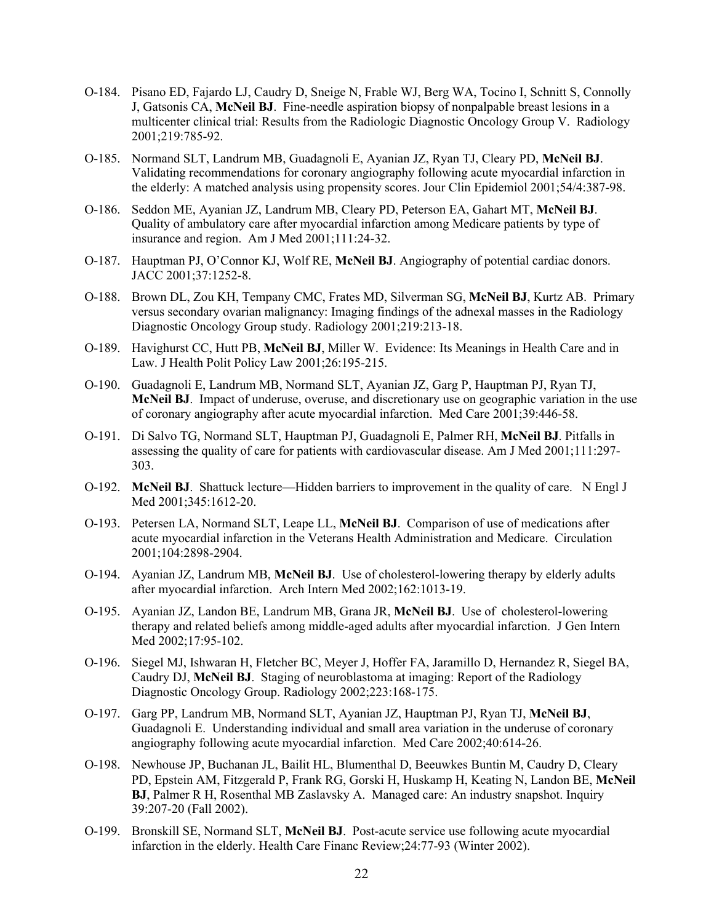- O-184. Pisano ED, Fajardo LJ, Caudry D, Sneige N, Frable WJ, Berg WA, Tocino I, Schnitt S, Connolly J, Gatsonis CA, **McNeil BJ**. Fine-needle aspiration biopsy of nonpalpable breast lesions in a multicenter clinical trial: Results from the Radiologic Diagnostic Oncology Group V. Radiology 2001;219:785-92.
- O-185. Normand SLT, Landrum MB, Guadagnoli E, Ayanian JZ, Ryan TJ, Cleary PD, **McNeil BJ**. Validating recommendations for coronary angiography following acute myocardial infarction in the elderly: A matched analysis using propensity scores. Jour Clin Epidemiol 2001;54/4:387-98.
- O-186. Seddon ME, Ayanian JZ, Landrum MB, Cleary PD, Peterson EA, Gahart MT, **McNeil BJ**. Quality of ambulatory care after myocardial infarction among Medicare patients by type of insurance and region. Am J Med 2001;111:24-32.
- O-187. Hauptman PJ, O'Connor KJ, Wolf RE, **McNeil BJ**. Angiography of potential cardiac donors. JACC 2001;37:1252-8.
- O-188. Brown DL, Zou KH, Tempany CMC, Frates MD, Silverman SG, **McNeil BJ**, Kurtz AB. Primary versus secondary ovarian malignancy: Imaging findings of the adnexal masses in the Radiology Diagnostic Oncology Group study. Radiology 2001;219:213-18.
- O-189. Havighurst CC, Hutt PB, **McNeil BJ**, Miller W. Evidence: Its Meanings in Health Care and in Law. J Health Polit Policy Law 2001;26:195-215.
- O-190. Guadagnoli E, Landrum MB, Normand SLT, Ayanian JZ, Garg P, Hauptman PJ, Ryan TJ, **McNeil BJ**. Impact of underuse, overuse, and discretionary use on geographic variation in the use of coronary angiography after acute myocardial infarction. Med Care 2001;39:446-58.
- O-191. Di Salvo TG, Normand SLT, Hauptman PJ, Guadagnoli E, Palmer RH, **McNeil BJ**. Pitfalls in assessing the quality of care for patients with cardiovascular disease. Am J Med 2001;111:297- 303.
- O-192. **McNeil BJ**. Shattuck lecture—Hidden barriers to improvement in the quality of care. N Engl J Med 2001;345:1612-20.
- O-193. Petersen LA, Normand SLT, Leape LL, **McNeil BJ**. Comparison of use of medications after acute myocardial infarction in the Veterans Health Administration and Medicare. Circulation 2001;104:2898-2904.
- O-194. Ayanian JZ, Landrum MB, **McNeil BJ**. Use of cholesterol-lowering therapy by elderly adults after myocardial infarction. Arch Intern Med 2002;162:1013-19.
- O-195. Ayanian JZ, Landon BE, Landrum MB, Grana JR, **McNeil BJ**. Use of cholesterol-lowering therapy and related beliefs among middle-aged adults after myocardial infarction. J Gen Intern Med 2002;17:95-102.
- O-196. Siegel MJ, Ishwaran H, Fletcher BC, Meyer J, Hoffer FA, Jaramillo D, Hernandez R, Siegel BA, Caudry DJ, **McNeil BJ**. Staging of neuroblastoma at imaging: Report of the Radiology Diagnostic Oncology Group. Radiology 2002;223:168-175.
- O-197. Garg PP, Landrum MB, Normand SLT, Ayanian JZ, Hauptman PJ, Ryan TJ, **McNeil BJ**, Guadagnoli E. Understanding individual and small area variation in the underuse of coronary angiography following acute myocardial infarction. Med Care 2002;40:614-26.
- O-198. Newhouse JP, Buchanan JL, Bailit HL, Blumenthal D, Beeuwkes Buntin M, Caudry D, Cleary PD, Epstein AM, Fitzgerald P, Frank RG, Gorski H, Huskamp H, Keating N, Landon BE, **McNeil BJ**, Palmer R H, Rosenthal MB Zaslavsky A. Managed care: An industry snapshot. Inquiry 39:207-20 (Fall 2002).
- O-199. Bronskill SE, Normand SLT, **McNeil BJ**. Post-acute service use following acute myocardial infarction in the elderly. Health Care Financ Review;24:77-93 (Winter 2002).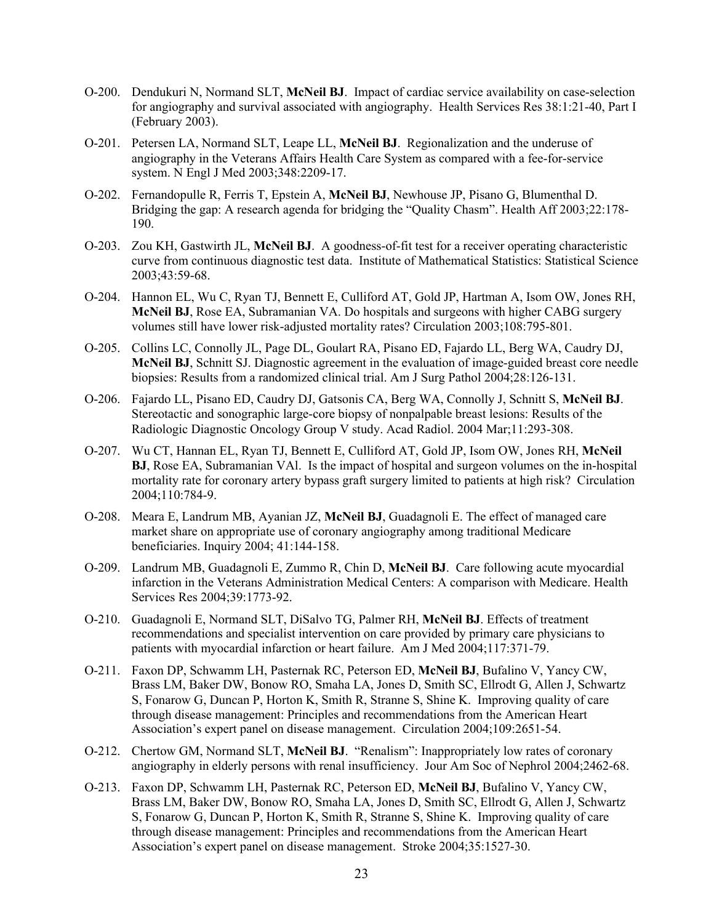- O-200. Dendukuri N, Normand SLT, **McNeil BJ**. Impact of cardiac service availability on case-selection for angiography and survival associated with angiography. Health Services Res 38:1:21-40, Part I (February 2003).
- O-201. Petersen LA, Normand SLT, Leape LL, **McNeil BJ**. Regionalization and the underuse of angiography in the Veterans Affairs Health Care System as compared with a fee-for-service system. N Engl J Med 2003;348:2209-17.
- O-202. Fernandopulle R, Ferris T, Epstein A, **McNeil BJ**, Newhouse JP, Pisano G, Blumenthal D. Bridging the gap: A research agenda for bridging the "Quality Chasm". Health Aff 2003;22:178- 190.
- O-203. Zou KH, Gastwirth JL, **McNeil BJ**. A goodness-of-fit test for a receiver operating characteristic curve from continuous diagnostic test data. Institute of Mathematical Statistics: Statistical Science 2003;43:59-68.
- O-204. Hannon EL, Wu C, Ryan TJ, Bennett E, Culliford AT, Gold JP, Hartman A, Isom OW, Jones RH, **McNeil BJ**, Rose EA, Subramanian VA. Do hospitals and surgeons with higher CABG surgery volumes still have lower risk-adjusted mortality rates? Circulation 2003;108:795-801.
- O-205. Collins LC, Connolly JL, Page DL, Goulart RA, Pisano ED, Fajardo LL, Berg WA, Caudry DJ, **McNeil BJ**, Schnitt SJ. Diagnostic agreement in the evaluation of image-guided breast core needle biopsies: Results from a randomized clinical trial. Am J Surg Pathol 2004;28:126-131.
- O-206. Fajardo LL, Pisano ED, Caudry DJ, Gatsonis CA, Berg WA, Connolly J, Schnitt S, **McNeil BJ**. Stereotactic and sonographic large-core biopsy of nonpalpable breast lesions: Results of the Radiologic Diagnostic Oncology Group V study. Acad Radiol. 2004 Mar;11:293-308.
- O-207. Wu CT, Hannan EL, Ryan TJ, Bennett E, Culliford AT, Gold JP, Isom OW, Jones RH, **McNeil BJ**, Rose EA, Subramanian VAl. Is the impact of hospital and surgeon volumes on the in-hospital mortality rate for coronary artery bypass graft surgery limited to patients at high risk? Circulation 2004;110:784-9.
- O-208. Meara E, Landrum MB, Ayanian JZ, **McNeil BJ**, Guadagnoli E. The effect of managed care market share on appropriate use of coronary angiography among traditional Medicare beneficiaries. Inquiry 2004; 41:144-158.
- O-209. Landrum MB, Guadagnoli E, Zummo R, Chin D, **McNeil BJ**. Care following acute myocardial infarction in the Veterans Administration Medical Centers: A comparison with Medicare. Health Services Res 2004;39:1773-92.
- O-210. Guadagnoli E, Normand SLT, DiSalvo TG, Palmer RH, **McNeil BJ**. Effects of treatment recommendations and specialist intervention on care provided by primary care physicians to patients with myocardial infarction or heart failure. Am J Med 2004;117:371-79.
- O-211. Faxon DP, Schwamm LH, Pasternak RC, Peterson ED, **McNeil BJ**, Bufalino V, Yancy CW, Brass LM, Baker DW, Bonow RO, Smaha LA, Jones D, Smith SC, Ellrodt G, Allen J, Schwartz S, Fonarow G, Duncan P, Horton K, Smith R, Stranne S, Shine K. Improving quality of care through disease management: Principles and recommendations from the American Heart Association's expert panel on disease management. Circulation 2004;109:2651-54.
- O-212. Chertow GM, Normand SLT, **McNeil BJ**. "Renalism": Inappropriately low rates of coronary angiography in elderly persons with renal insufficiency. Jour Am Soc of Nephrol 2004;2462-68.
- O-213. Faxon DP, Schwamm LH, Pasternak RC, Peterson ED, **McNeil BJ**, Bufalino V, Yancy CW, Brass LM, Baker DW, Bonow RO, Smaha LA, Jones D, Smith SC, Ellrodt G, Allen J, Schwartz S, Fonarow G, Duncan P, Horton K, Smith R, Stranne S, Shine K. Improving quality of care through disease management: Principles and recommendations from the American Heart Association's expert panel on disease management. Stroke 2004;35:1527-30.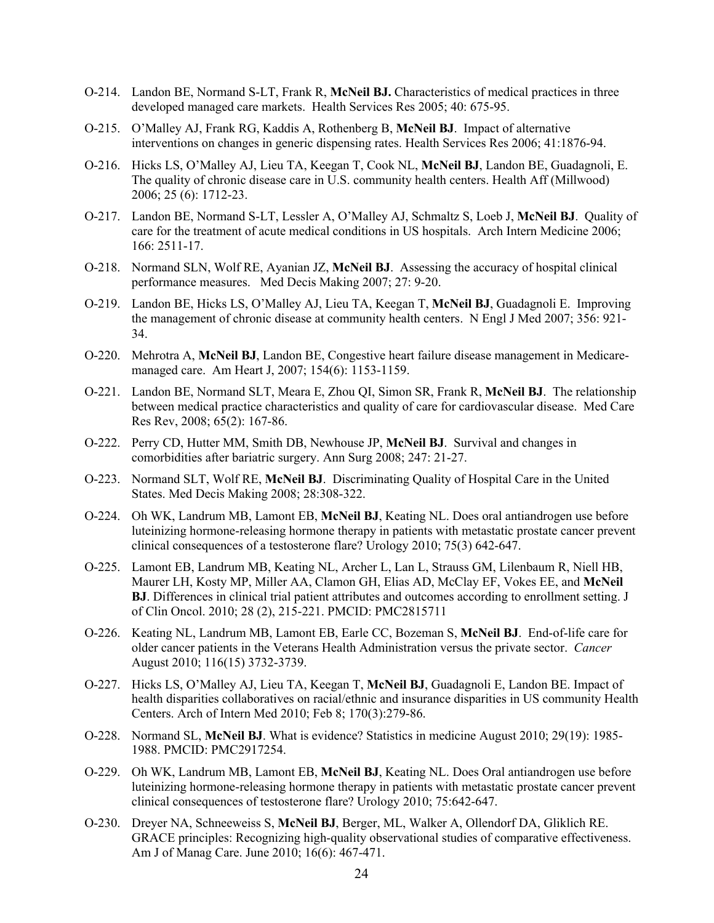- O-214. Landon BE, Normand S-LT, Frank R, **McNeil BJ.** Characteristics of medical practices in three developed managed care markets. Health Services Res 2005; 40: 675-95.
- O-215. O'Malley AJ, Frank RG, Kaddis A, Rothenberg B, **McNeil BJ**. Impact of alternative interventions on changes in generic dispensing rates. Health Services Res 2006; 41:1876-94.
- O-216. Hicks LS, O'Malley AJ, Lieu TA, Keegan T, Cook NL, **McNeil BJ**, Landon BE, Guadagnoli, E. The quality of chronic disease care in U.S. community health centers. Health Aff (Millwood) 2006; 25 (6): 1712-23.
- O-217. Landon BE, Normand S-LT, Lessler A, O'Malley AJ, Schmaltz S, Loeb J, **McNeil BJ**. Quality of care for the treatment of acute medical conditions in US hospitals. Arch Intern Medicine 2006; 166: 2511-17.
- O-218. Normand SLN, Wolf RE, Ayanian JZ, **McNeil BJ**. Assessing the accuracy of hospital clinical performance measures. Med Decis Making 2007; 27: 9-20.
- O-219. Landon BE, Hicks LS, O'Malley AJ, Lieu TA, Keegan T, **McNeil BJ**, Guadagnoli E. Improving the management of chronic disease at community health centers. N Engl J Med 2007; 356: 921- 34.
- O-220. Mehrotra A, **McNeil BJ**, Landon BE, Congestive heart failure disease management in Medicaremanaged care. Am Heart J, 2007; 154(6): 1153-1159.
- O-221. Landon BE, Normand SLT, Meara E, Zhou QI, Simon SR, Frank R, **McNeil BJ**. The relationship between medical practice characteristics and quality of care for cardiovascular disease. Med Care Res Rev, 2008; 65(2): 167-86.
- O-222. Perry CD, Hutter MM, Smith DB, Newhouse JP, **McNeil BJ**. Survival and changes in comorbidities after bariatric surgery. Ann Surg 2008; 247: 21-27.
- O-223. Normand SLT, Wolf RE, **McNeil BJ**. Discriminating Quality of Hospital Care in the United States. Med Decis Making 2008; 28:308-322.
- O-224. Oh WK, Landrum MB, Lamont EB, **McNeil BJ**, Keating NL. Does oral antiandrogen use before luteinizing hormone-releasing hormone therapy in patients with metastatic prostate cancer prevent clinical consequences of a testosterone flare? Urology 2010; 75(3) 642-647.
- O-225. Lamont EB, Landrum MB, Keating NL, Archer L, Lan L, Strauss GM, Lilenbaum R, Niell HB, Maurer LH, Kosty MP, Miller AA, Clamon GH, Elias AD, McClay EF, Vokes EE, and **McNeil BJ**. Differences in clinical trial patient attributes and outcomes according to enrollment setting. J of Clin Oncol. 2010; 28 (2), 215-221. PMCID: PMC2815711
- O-226. Keating NL, Landrum MB, Lamont EB, Earle CC, Bozeman S, **McNeil BJ**. End-of-life care for older cancer patients in the Veterans Health Administration versus the private sector. *Cancer* August 2010; 116(15) 3732-3739.
- O-227. Hicks LS, O'Malley AJ, Lieu TA, Keegan T, **McNeil BJ**, Guadagnoli E, Landon BE. Impact of health disparities collaboratives on racial/ethnic and insurance disparities in US community Health Centers. Arch of Intern Med 2010; Feb 8; 170(3):279-86.
- O-228. Normand SL, **McNeil BJ**. What is evidence? Statistics in medicine August 2010; 29(19): 1985- 1988. PMCID: PMC2917254.
- O-229. Oh WK, Landrum MB, Lamont EB, **McNeil BJ**, Keating NL. Does Oral antiandrogen use before luteinizing hormone-releasing hormone therapy in patients with metastatic prostate cancer prevent clinical consequences of testosterone flare? Urology 2010; 75:642-647.
- O-230. Dreyer NA, Schneeweiss S, **McNeil BJ**, Berger, ML, Walker A, Ollendorf DA, Gliklich RE. GRACE principles: Recognizing high-quality observational studies of comparative effectiveness. Am J of Manag Care. June 2010; 16(6): 467-471.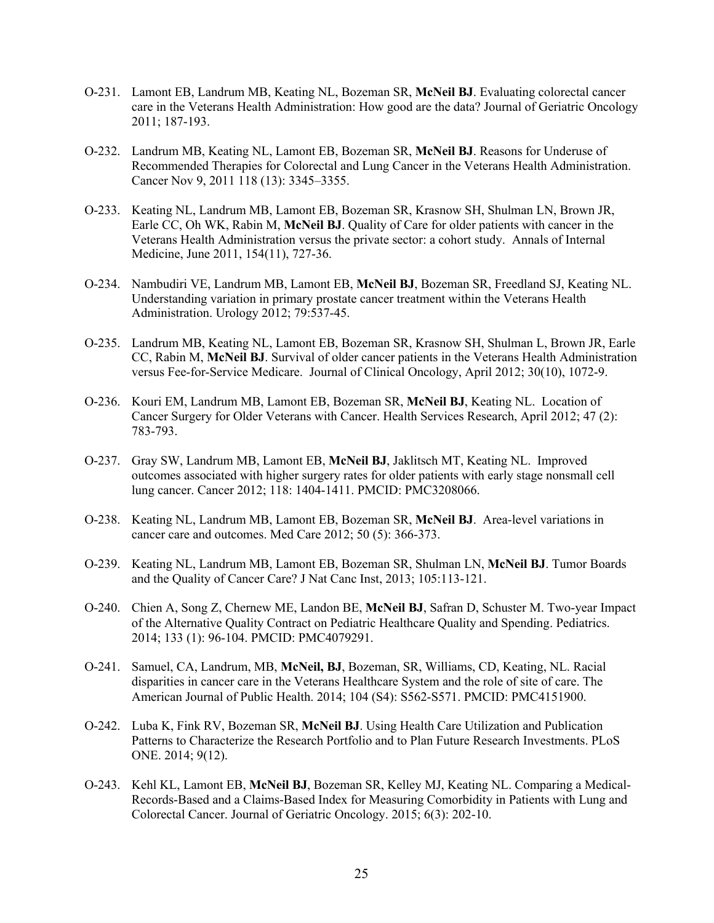- O-231. Lamont EB, Landrum MB, Keating NL, Bozeman SR, **McNeil BJ**. Evaluating colorectal cancer care in the Veterans Health Administration: How good are the data? Journal of Geriatric Oncology 2011; 187-193.
- O-232. Landrum MB, Keating NL, Lamont EB, Bozeman SR, **McNeil BJ**. Reasons for Underuse of Recommended Therapies for Colorectal and Lung Cancer in the Veterans Health Administration. Cancer Nov 9, 2011 118 (13): 3345–3355.
- O-233. Keating NL, Landrum MB, Lamont EB, Bozeman SR, Krasnow SH, Shulman LN, Brown JR, Earle CC, Oh WK, Rabin M, **McNeil BJ**. Quality of Care for older patients with cancer in the Veterans Health Administration versus the private sector: a cohort study. Annals of Internal Medicine, June 2011, 154(11), 727-36.
- O-234. Nambudiri VE, Landrum MB, Lamont EB, **McNeil BJ**, Bozeman SR, Freedland SJ, Keating NL. Understanding variation in primary prostate cancer treatment within the Veterans Health Administration. Urology 2012; 79:537-45.
- O-235. Landrum MB, Keating NL, Lamont EB, Bozeman SR, Krasnow SH, Shulman L, Brown JR, Earle CC, Rabin M, **McNeil BJ**. Survival of older cancer patients in the Veterans Health Administration versus Fee-for-Service Medicare. Journal of Clinical Oncology, April 2012; 30(10), 1072-9.
- O-236. Kouri EM, Landrum MB, Lamont EB, Bozeman SR, **McNeil BJ**, Keating NL. Location of Cancer Surgery for Older Veterans with Cancer. Health Services Research, April 2012; 47 (2): 783-793.
- O-237. Gray SW, Landrum MB, Lamont EB, **McNeil BJ**, Jaklitsch MT, Keating NL. Improved outcomes associated with higher surgery rates for older patients with early stage nonsmall cell lung cancer. Cancer 2012; 118: 1404-1411. PMCID: PMC3208066.
- O-238. Keating NL, Landrum MB, Lamont EB, Bozeman SR, **McNeil BJ**. Area-level variations in cancer care and outcomes. Med Care 2012; 50 (5): 366-373.
- O-239. Keating NL, Landrum MB, Lamont EB, Bozeman SR, Shulman LN, **McNeil BJ**. Tumor Boards and the Quality of Cancer Care? J Nat Canc Inst, 2013; 105:113-121.
- O-240. Chien A, Song Z, Chernew ME, Landon BE, **McNeil BJ**, Safran D, Schuster M. Two-year Impact of the Alternative Quality Contract on Pediatric Healthcare Quality and Spending. Pediatrics. 2014; 133 (1): 96-104. PMCID: PMC4079291.
- O-241. Samuel, CA, Landrum, MB, **McNeil, BJ**, Bozeman, SR, Williams, CD, Keating, NL. Racial disparities in cancer care in the Veterans Healthcare System and the role of site of care. The American Journal of Public Health. 2014; 104 (S4): S562-S571. PMCID: PMC4151900.
- O-242. Luba K, Fink RV, Bozeman SR, **McNeil BJ**. Using Health Care Utilization and Publication Patterns to Characterize the Research Portfolio and to Plan Future Research Investments. PLoS ONE. 2014; 9(12).
- O-243. Kehl KL, Lamont EB, **McNeil BJ**, Bozeman SR, Kelley MJ, Keating NL. Comparing a Medical-Records-Based and a Claims-Based Index for Measuring Comorbidity in Patients with Lung and Colorectal Cancer. Journal of Geriatric Oncology. 2015; 6(3): 202-10.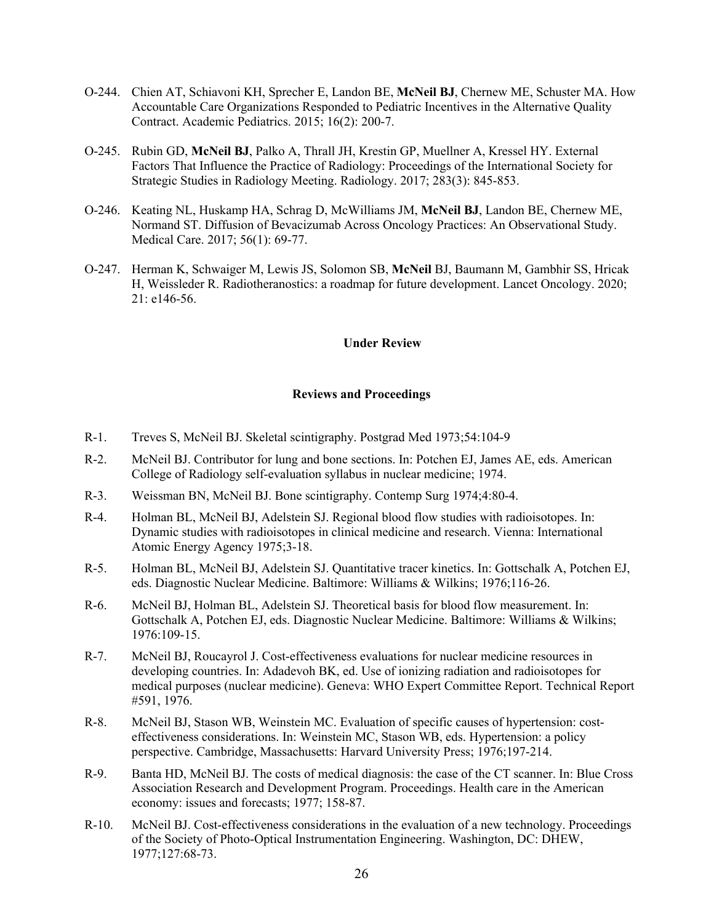- O-244. Chien AT, Schiavoni KH, Sprecher E, Landon BE, **McNeil BJ**, Chernew ME, Schuster MA. How Accountable Care Organizations Responded to Pediatric Incentives in the Alternative Quality Contract. Academic Pediatrics. 2015; 16(2): 200-7.
- O-245. Rubin GD, **McNeil BJ**, Palko A, Thrall JH, Krestin GP, Muellner A, Kressel HY. External Factors That Influence the Practice of Radiology: Proceedings of the International Society for Strategic Studies in Radiology Meeting. Radiology. 2017; 283(3): 845-853.
- O-246. Keating NL, Huskamp HA, Schrag D, McWilliams JM, **McNeil BJ**, Landon BE, Chernew ME, Normand ST. Diffusion of Bevacizumab Across Oncology Practices: An Observational Study. Medical Care. 2017; 56(1): 69-77.
- O-247. Herman K, Schwaiger M, Lewis JS, Solomon SB, **McNeil** BJ, Baumann M, Gambhir SS, Hricak H, Weissleder R. Radiotheranostics: a roadmap for future development. Lancet Oncology. 2020; 21: e146-56.

#### **Under Review**

#### **Reviews and Proceedings**

- R-1. Treves S, McNeil BJ. Skeletal scintigraphy. Postgrad Med 1973;54:104-9
- R-2. McNeil BJ. Contributor for lung and bone sections. In: Potchen EJ, James AE, eds. American College of Radiology self-evaluation syllabus in nuclear medicine; 1974.
- R-3. Weissman BN, McNeil BJ. Bone scintigraphy. Contemp Surg 1974;4:80-4.
- R-4. Holman BL, McNeil BJ, Adelstein SJ. Regional blood flow studies with radioisotopes. In: Dynamic studies with radioisotopes in clinical medicine and research. Vienna: International Atomic Energy Agency 1975;3-18.
- R-5. Holman BL, McNeil BJ, Adelstein SJ. Quantitative tracer kinetics. In: Gottschalk A, Potchen EJ, eds. Diagnostic Nuclear Medicine. Baltimore: Williams & Wilkins; 1976;116-26.
- R-6. McNeil BJ, Holman BL, Adelstein SJ. Theoretical basis for blood flow measurement. In: Gottschalk A, Potchen EJ, eds. Diagnostic Nuclear Medicine. Baltimore: Williams & Wilkins; 1976:109-15.
- R-7. McNeil BJ, Roucayrol J. Cost-effectiveness evaluations for nuclear medicine resources in developing countries. In: Adadevoh BK, ed. Use of ionizing radiation and radioisotopes for medical purposes (nuclear medicine). Geneva: WHO Expert Committee Report. Technical Report #591, 1976.
- R-8. McNeil BJ, Stason WB, Weinstein MC. Evaluation of specific causes of hypertension: costeffectiveness considerations. In: Weinstein MC, Stason WB, eds. Hypertension: a policy perspective. Cambridge, Massachusetts: Harvard University Press; 1976;197-214.
- R-9. Banta HD, McNeil BJ. The costs of medical diagnosis: the case of the CT scanner. In: Blue Cross Association Research and Development Program. Proceedings. Health care in the American economy: issues and forecasts; 1977; 158-87.
- R-10. McNeil BJ. Cost-effectiveness considerations in the evaluation of a new technology. Proceedings of the Society of Photo-Optical Instrumentation Engineering. Washington, DC: DHEW, 1977;127:68-73.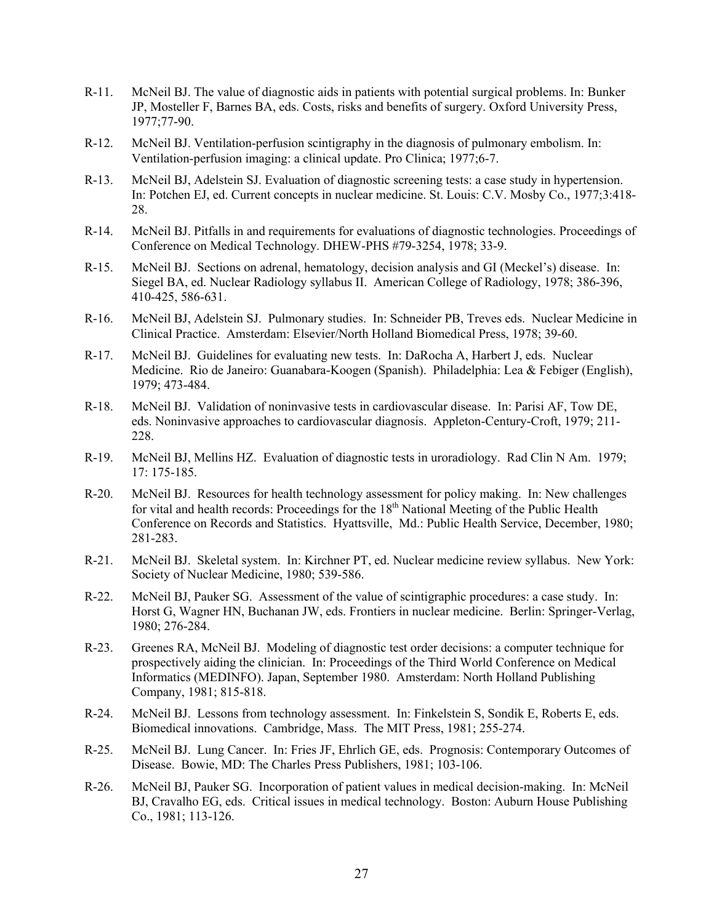- R-11. McNeil BJ. The value of diagnostic aids in patients with potential surgical problems. In: Bunker JP, Mosteller F, Barnes BA, eds. Costs, risks and benefits of surgery. Oxford University Press, 1977;77-90.
- R-12. McNeil BJ. Ventilation-perfusion scintigraphy in the diagnosis of pulmonary embolism. In: Ventilation-perfusion imaging: a clinical update. Pro Clinica; 1977;6-7.
- R-13. McNeil BJ, Adelstein SJ. Evaluation of diagnostic screening tests: a case study in hypertension. In: Potchen EJ, ed. Current concepts in nuclear medicine. St. Louis: C.V. Mosby Co., 1977;3:418- 28.
- R-14. McNeil BJ. Pitfalls in and requirements for evaluations of diagnostic technologies. Proceedings of Conference on Medical Technology. DHEW-PHS #79-3254, 1978; 33-9.
- R-15. McNeil BJ. Sections on adrenal, hematology, decision analysis and GI (Meckel's) disease. In: Siegel BA, ed. Nuclear Radiology syllabus II. American College of Radiology, 1978; 386-396, 410-425, 586-631.
- R-16. McNeil BJ, Adelstein SJ. Pulmonary studies. In: Schneider PB, Treves eds. Nuclear Medicine in Clinical Practice. Amsterdam: Elsevier/North Holland Biomedical Press, 1978; 39-60.
- R-17. McNeil BJ. Guidelines for evaluating new tests. In: DaRocha A, Harbert J, eds. Nuclear Medicine. Rio de Janeiro: Guanabara-Koogen (Spanish). Philadelphia: Lea & Febiger (English), 1979; 473-484.
- R-18. McNeil BJ. Validation of noninvasive tests in cardiovascular disease. In: Parisi AF, Tow DE, eds. Noninvasive approaches to cardiovascular diagnosis. Appleton-Century-Croft, 1979; 211- 228.
- R-19. McNeil BJ, Mellins HZ. Evaluation of diagnostic tests in uroradiology. Rad Clin N Am. 1979; 17: 175-185.
- R-20. McNeil BJ. Resources for health technology assessment for policy making. In: New challenges for vital and health records: Proceedings for the  $18<sup>th</sup>$  National Meeting of the Public Health Conference on Records and Statistics. Hyattsville, Md.: Public Health Service, December, 1980; 281-283.
- R-21. McNeil BJ. Skeletal system. In: Kirchner PT, ed. Nuclear medicine review syllabus. New York: Society of Nuclear Medicine, 1980; 539-586.
- R-22. McNeil BJ, Pauker SG. Assessment of the value of scintigraphic procedures: a case study. In: Horst G, Wagner HN, Buchanan JW, eds. Frontiers in nuclear medicine. Berlin: Springer-Verlag, 1980; 276-284.
- R-23. Greenes RA, McNeil BJ. Modeling of diagnostic test order decisions: a computer technique for prospectively aiding the clinician. In: Proceedings of the Third World Conference on Medical Informatics (MEDINFO). Japan, September 1980. Amsterdam: North Holland Publishing Company, 1981; 815-818.
- R-24. McNeil BJ. Lessons from technology assessment. In: Finkelstein S, Sondik E, Roberts E, eds. Biomedical innovations. Cambridge, Mass. The MIT Press, 1981; 255-274.
- R-25. McNeil BJ. Lung Cancer. In: Fries JF, Ehrlich GE, eds. Prognosis: Contemporary Outcomes of Disease. Bowie, MD: The Charles Press Publishers, 1981; 103-106.
- R-26. McNeil BJ, Pauker SG. Incorporation of patient values in medical decision-making. In: McNeil BJ, Cravalho EG, eds. Critical issues in medical technology. Boston: Auburn House Publishing Co., 1981; 113-126.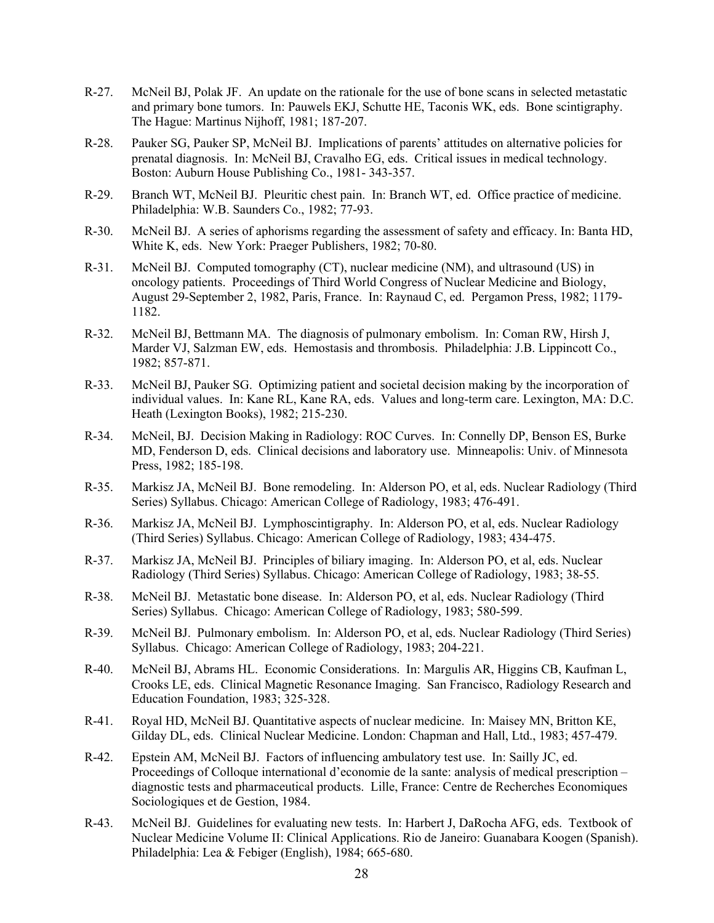- R-27. McNeil BJ, Polak JF. An update on the rationale for the use of bone scans in selected metastatic and primary bone tumors. In: Pauwels EKJ, Schutte HE, Taconis WK, eds. Bone scintigraphy. The Hague: Martinus Nijhoff, 1981; 187-207.
- R-28. Pauker SG, Pauker SP, McNeil BJ. Implications of parents' attitudes on alternative policies for prenatal diagnosis. In: McNeil BJ, Cravalho EG, eds. Critical issues in medical technology. Boston: Auburn House Publishing Co., 1981- 343-357.
- R-29. Branch WT, McNeil BJ. Pleuritic chest pain. In: Branch WT, ed. Office practice of medicine. Philadelphia: W.B. Saunders Co., 1982; 77-93.
- R-30. McNeil BJ. A series of aphorisms regarding the assessment of safety and efficacy. In: Banta HD, White K, eds. New York: Praeger Publishers, 1982; 70-80.
- R-31. McNeil BJ. Computed tomography (CT), nuclear medicine (NM), and ultrasound (US) in oncology patients. Proceedings of Third World Congress of Nuclear Medicine and Biology, August 29-September 2, 1982, Paris, France. In: Raynaud C, ed. Pergamon Press, 1982; 1179- 1182.
- R-32. McNeil BJ, Bettmann MA. The diagnosis of pulmonary embolism. In: Coman RW, Hirsh J, Marder VJ, Salzman EW, eds. Hemostasis and thrombosis. Philadelphia: J.B. Lippincott Co., 1982; 857-871.
- R-33. McNeil BJ, Pauker SG. Optimizing patient and societal decision making by the incorporation of individual values. In: Kane RL, Kane RA, eds. Values and long-term care. Lexington, MA: D.C. Heath (Lexington Books), 1982; 215-230.
- R-34. McNeil, BJ. Decision Making in Radiology: ROC Curves. In: Connelly DP, Benson ES, Burke MD, Fenderson D, eds. Clinical decisions and laboratory use. Minneapolis: Univ. of Minnesota Press, 1982; 185-198.
- R-35. Markisz JA, McNeil BJ. Bone remodeling. In: Alderson PO, et al, eds. Nuclear Radiology (Third Series) Syllabus. Chicago: American College of Radiology, 1983; 476-491.
- R-36. Markisz JA, McNeil BJ. Lymphoscintigraphy. In: Alderson PO, et al, eds. Nuclear Radiology (Third Series) Syllabus. Chicago: American College of Radiology, 1983; 434-475.
- R-37. Markisz JA, McNeil BJ. Principles of biliary imaging. In: Alderson PO, et al, eds. Nuclear Radiology (Third Series) Syllabus. Chicago: American College of Radiology, 1983; 38-55.
- R-38. McNeil BJ. Metastatic bone disease. In: Alderson PO, et al, eds. Nuclear Radiology (Third Series) Syllabus. Chicago: American College of Radiology, 1983; 580-599.
- R-39. McNeil BJ. Pulmonary embolism. In: Alderson PO, et al, eds. Nuclear Radiology (Third Series) Syllabus. Chicago: American College of Radiology, 1983; 204-221.
- R-40. McNeil BJ, Abrams HL. Economic Considerations. In: Margulis AR, Higgins CB, Kaufman L, Crooks LE, eds. Clinical Magnetic Resonance Imaging. San Francisco, Radiology Research and Education Foundation, 1983; 325-328.
- R-41. Royal HD, McNeil BJ. Quantitative aspects of nuclear medicine. In: Maisey MN, Britton KE, Gilday DL, eds. Clinical Nuclear Medicine. London: Chapman and Hall, Ltd., 1983; 457-479.
- R-42. Epstein AM, McNeil BJ. Factors of influencing ambulatory test use. In: Sailly JC, ed. Proceedings of Colloque international d'economie de la sante: analysis of medical prescription – diagnostic tests and pharmaceutical products. Lille, France: Centre de Recherches Economiques Sociologiques et de Gestion, 1984.
- R-43. McNeil BJ. Guidelines for evaluating new tests. In: Harbert J, DaRocha AFG, eds. Textbook of Nuclear Medicine Volume II: Clinical Applications. Rio de Janeiro: Guanabara Koogen (Spanish). Philadelphia: Lea & Febiger (English), 1984; 665-680.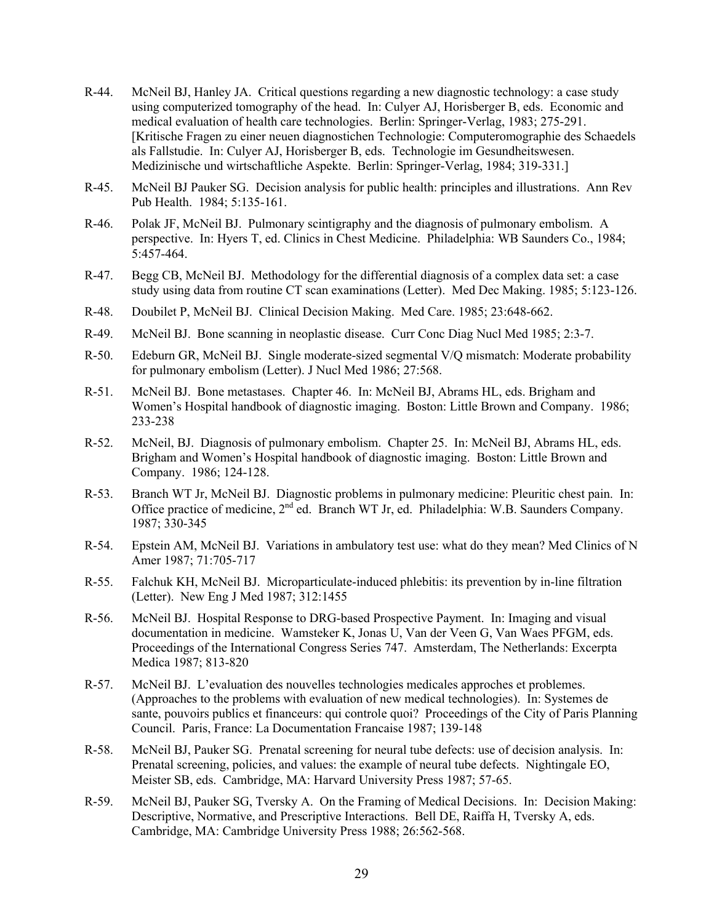- R-44. McNeil BJ, Hanley JA. Critical questions regarding a new diagnostic technology: a case study using computerized tomography of the head. In: Culyer AJ, Horisberger B, eds. Economic and medical evaluation of health care technologies. Berlin: Springer-Verlag, 1983; 275-291. [Kritische Fragen zu einer neuen diagnostichen Technologie: Computeromographie des Schaedels als Fallstudie. In: Culyer AJ, Horisberger B, eds. Technologie im Gesundheitswesen. Medizinische und wirtschaftliche Aspekte. Berlin: Springer-Verlag, 1984; 319-331.]
- R-45. McNeil BJ Pauker SG. Decision analysis for public health: principles and illustrations. Ann Rev Pub Health. 1984; 5:135-161.
- R-46. Polak JF, McNeil BJ. Pulmonary scintigraphy and the diagnosis of pulmonary embolism. A perspective. In: Hyers T, ed. Clinics in Chest Medicine. Philadelphia: WB Saunders Co., 1984; 5:457-464.
- R-47. Begg CB, McNeil BJ. Methodology for the differential diagnosis of a complex data set: a case study using data from routine CT scan examinations (Letter). Med Dec Making. 1985; 5:123-126.
- R-48. Doubilet P, McNeil BJ. Clinical Decision Making. Med Care. 1985; 23:648-662.
- R-49. McNeil BJ. Bone scanning in neoplastic disease. Curr Conc Diag Nucl Med 1985; 2:3-7.
- R-50. Edeburn GR, McNeil BJ. Single moderate-sized segmental V/Q mismatch: Moderate probability for pulmonary embolism (Letter). J Nucl Med 1986; 27:568.
- R-51. McNeil BJ. Bone metastases. Chapter 46. In: McNeil BJ, Abrams HL, eds. Brigham and Women's Hospital handbook of diagnostic imaging. Boston: Little Brown and Company. 1986; 233-238
- R-52. McNeil, BJ. Diagnosis of pulmonary embolism. Chapter 25. In: McNeil BJ, Abrams HL, eds. Brigham and Women's Hospital handbook of diagnostic imaging. Boston: Little Brown and Company. 1986; 124-128.
- R-53. Branch WT Jr, McNeil BJ. Diagnostic problems in pulmonary medicine: Pleuritic chest pain. In: Office practice of medicine, 2<sup>nd</sup> ed. Branch WT Jr, ed. Philadelphia: W.B. Saunders Company. 1987; 330-345
- R-54. Epstein AM, McNeil BJ. Variations in ambulatory test use: what do they mean? Med Clinics of N Amer 1987; 71:705-717
- R-55. Falchuk KH, McNeil BJ. Microparticulate-induced phlebitis: its prevention by in-line filtration (Letter). New Eng J Med 1987; 312:1455
- R-56. McNeil BJ. Hospital Response to DRG-based Prospective Payment. In: Imaging and visual documentation in medicine. Wamsteker K, Jonas U, Van der Veen G, Van Waes PFGM, eds. Proceedings of the International Congress Series 747. Amsterdam, The Netherlands: Excerpta Medica 1987; 813-820
- R-57. McNeil BJ. L'evaluation des nouvelles technologies medicales approches et problemes. (Approaches to the problems with evaluation of new medical technologies). In: Systemes de sante, pouvoirs publics et financeurs: qui controle quoi? Proceedings of the City of Paris Planning Council. Paris, France: La Documentation Francaise 1987; 139-148
- R-58. McNeil BJ, Pauker SG. Prenatal screening for neural tube defects: use of decision analysis. In: Prenatal screening, policies, and values: the example of neural tube defects. Nightingale EO, Meister SB, eds. Cambridge, MA: Harvard University Press 1987; 57-65.
- R-59. McNeil BJ, Pauker SG, Tversky A. On the Framing of Medical Decisions. In: Decision Making: Descriptive, Normative, and Prescriptive Interactions. Bell DE, Raiffa H, Tversky A, eds. Cambridge, MA: Cambridge University Press 1988; 26:562-568.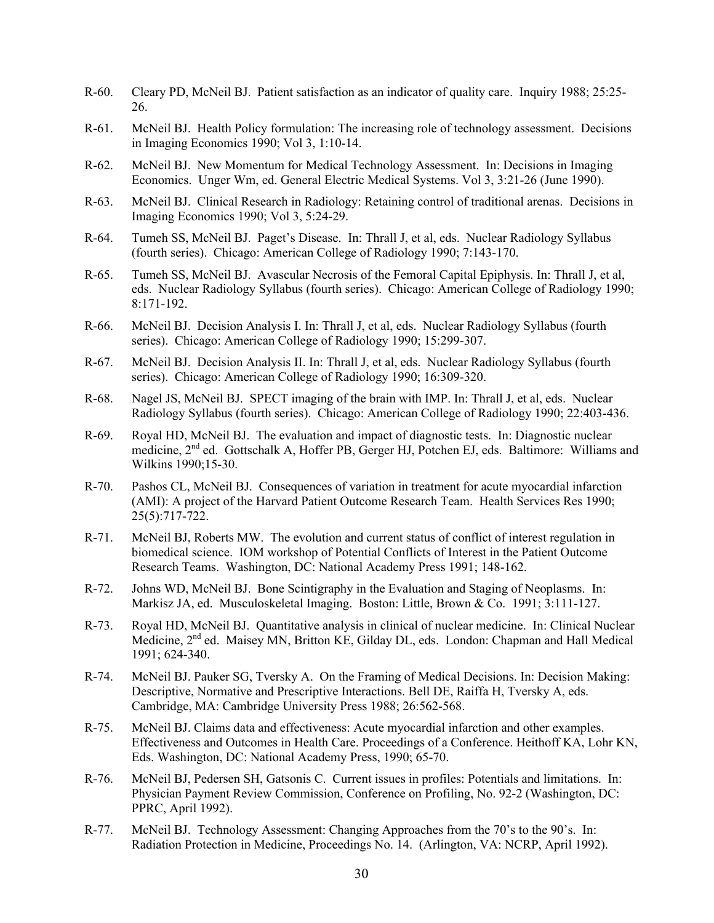- R-60. Cleary PD, McNeil BJ. Patient satisfaction as an indicator of quality care. Inquiry 1988; 25:25- 26.
- R-61. McNeil BJ. Health Policy formulation: The increasing role of technology assessment. Decisions in Imaging Economics 1990; Vol 3, 1:10-14.
- R-62. McNeil BJ. New Momentum for Medical Technology Assessment. In: Decisions in Imaging Economics. Unger Wm, ed. General Electric Medical Systems. Vol 3, 3:21-26 (June 1990).
- R-63. McNeil BJ. Clinical Research in Radiology: Retaining control of traditional arenas. Decisions in Imaging Economics 1990; Vol 3, 5:24-29.
- R-64. Tumeh SS, McNeil BJ. Paget's Disease. In: Thrall J, et al, eds. Nuclear Radiology Syllabus (fourth series). Chicago: American College of Radiology 1990; 7:143-170.
- R-65. Tumeh SS, McNeil BJ. Avascular Necrosis of the Femoral Capital Epiphysis. In: Thrall J, et al, eds. Nuclear Radiology Syllabus (fourth series). Chicago: American College of Radiology 1990; 8:171-192.
- R-66. McNeil BJ. Decision Analysis I. In: Thrall J, et al, eds. Nuclear Radiology Syllabus (fourth series). Chicago: American College of Radiology 1990; 15:299-307.
- R-67. McNeil BJ. Decision Analysis II. In: Thrall J, et al, eds. Nuclear Radiology Syllabus (fourth series). Chicago: American College of Radiology 1990; 16:309-320.
- R-68. Nagel JS, McNeil BJ. SPECT imaging of the brain with IMP. In: Thrall J, et al, eds. Nuclear Radiology Syllabus (fourth series). Chicago: American College of Radiology 1990; 22:403-436.
- R-69. Royal HD, McNeil BJ. The evaluation and impact of diagnostic tests. In: Diagnostic nuclear medicine, 2nd ed. Gottschalk A, Hoffer PB, Gerger HJ, Potchen EJ, eds. Baltimore: Williams and Wilkins 1990;15-30.
- R-70. Pashos CL, McNeil BJ. Consequences of variation in treatment for acute myocardial infarction (AMI): A project of the Harvard Patient Outcome Research Team. Health Services Res 1990; 25(5):717-722.
- R-71. McNeil BJ, Roberts MW. The evolution and current status of conflict of interest regulation in biomedical science. IOM workshop of Potential Conflicts of Interest in the Patient Outcome Research Teams. Washington, DC: National Academy Press 1991; 148-162.
- R-72. Johns WD, McNeil BJ. Bone Scintigraphy in the Evaluation and Staging of Neoplasms. In: Markisz JA, ed. Musculoskeletal Imaging. Boston: Little, Brown & Co. 1991; 3:111-127.
- R-73. Royal HD, McNeil BJ. Quantitative analysis in clinical of nuclear medicine. In: Clinical Nuclear Medicine, 2<sup>nd</sup> ed. Maisey MN, Britton KE, Gilday DL, eds. London: Chapman and Hall Medical 1991; 624-340.
- R-74. McNeil BJ. Pauker SG, Tversky A. On the Framing of Medical Decisions. In: Decision Making: Descriptive, Normative and Prescriptive Interactions. Bell DE, Raiffa H, Tversky A, eds. Cambridge, MA: Cambridge University Press 1988; 26:562-568.
- R-75. McNeil BJ. Claims data and effectiveness: Acute myocardial infarction and other examples. Effectiveness and Outcomes in Health Care. Proceedings of a Conference. Heithoff KA, Lohr KN, Eds. Washington, DC: National Academy Press, 1990; 65-70.
- R-76. McNeil BJ, Pedersen SH, Gatsonis C. Current issues in profiles: Potentials and limitations. In: Physician Payment Review Commission, Conference on Profiling, No. 92-2 (Washington, DC: PPRC, April 1992).
- R-77. McNeil BJ. Technology Assessment: Changing Approaches from the 70's to the 90's. In: Radiation Protection in Medicine, Proceedings No. 14. (Arlington, VA: NCRP, April 1992).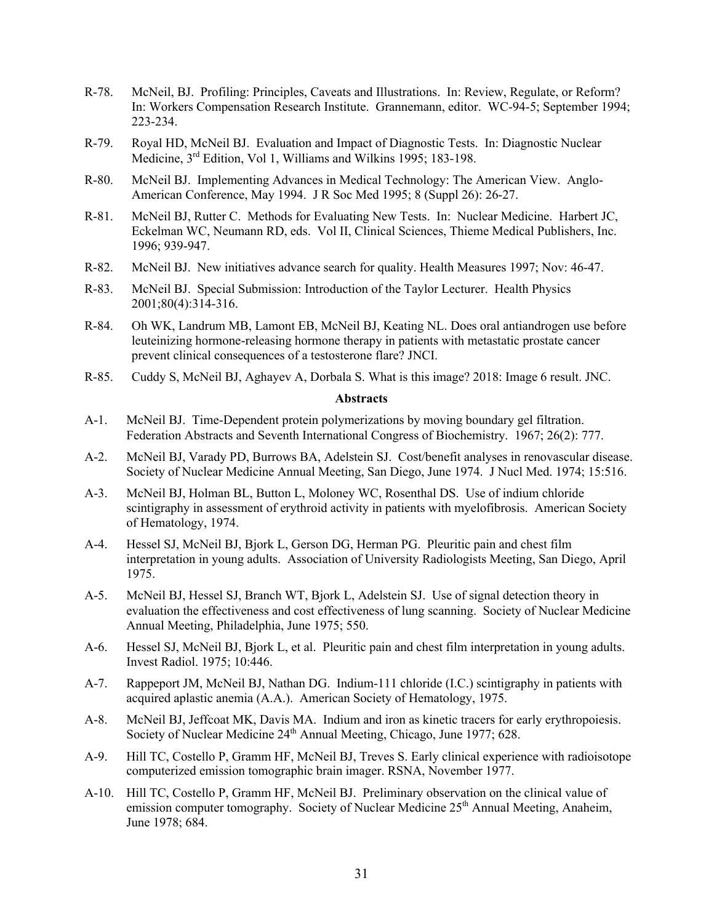- R-78. McNeil, BJ. Profiling: Principles, Caveats and Illustrations. In: Review, Regulate, or Reform? In: Workers Compensation Research Institute. Grannemann, editor. WC-94-5; September 1994; 223-234.
- R-79. Royal HD, McNeil BJ. Evaluation and Impact of Diagnostic Tests. In: Diagnostic Nuclear Medicine, 3rd Edition, Vol 1, Williams and Wilkins 1995; 183-198.
- R-80. McNeil BJ. Implementing Advances in Medical Technology: The American View. Anglo-American Conference, May 1994. J R Soc Med 1995; 8 (Suppl 26): 26-27.
- R-81. McNeil BJ, Rutter C. Methods for Evaluating New Tests. In: Nuclear Medicine. Harbert JC, Eckelman WC, Neumann RD, eds. Vol II, Clinical Sciences, Thieme Medical Publishers, Inc. 1996; 939-947.
- R-82. McNeil BJ. New initiatives advance search for quality. Health Measures 1997; Nov: 46-47.
- R-83. McNeil BJ. Special Submission: Introduction of the Taylor Lecturer. Health Physics 2001;80(4):314-316.
- R-84. Oh WK, Landrum MB, Lamont EB, McNeil BJ, Keating NL. Does oral antiandrogen use before leuteinizing hormone-releasing hormone therapy in patients with metastatic prostate cancer prevent clinical consequences of a testosterone flare? JNCI.
- R-85. Cuddy S, McNeil BJ, Aghayev A, Dorbala S. What is this image? 2018: Image 6 result. JNC.

#### **Abstracts**

- A-1. McNeil BJ. Time-Dependent protein polymerizations by moving boundary gel filtration. Federation Abstracts and Seventh International Congress of Biochemistry. 1967; 26(2): 777.
- A-2. McNeil BJ, Varady PD, Burrows BA, Adelstein SJ. Cost/benefit analyses in renovascular disease. Society of Nuclear Medicine Annual Meeting, San Diego, June 1974. J Nucl Med. 1974; 15:516.
- A-3. McNeil BJ, Holman BL, Button L, Moloney WC, Rosenthal DS. Use of indium chloride scintigraphy in assessment of erythroid activity in patients with myelofibrosis. American Society of Hematology, 1974.
- A-4. Hessel SJ, McNeil BJ, Bjork L, Gerson DG, Herman PG. Pleuritic pain and chest film interpretation in young adults. Association of University Radiologists Meeting, San Diego, April 1975.
- A-5. McNeil BJ, Hessel SJ, Branch WT, Bjork L, Adelstein SJ. Use of signal detection theory in evaluation the effectiveness and cost effectiveness of lung scanning. Society of Nuclear Medicine Annual Meeting, Philadelphia, June 1975; 550.
- A-6. Hessel SJ, McNeil BJ, Bjork L, et al. Pleuritic pain and chest film interpretation in young adults. Invest Radiol. 1975; 10:446.
- A-7. Rappeport JM, McNeil BJ, Nathan DG. Indium-111 chloride (I.C.) scintigraphy in patients with acquired aplastic anemia (A.A.). American Society of Hematology, 1975.
- A-8. McNeil BJ, Jeffcoat MK, Davis MA. Indium and iron as kinetic tracers for early erythropoiesis. Society of Nuclear Medicine 24<sup>th</sup> Annual Meeting, Chicago, June 1977; 628.
- A-9. Hill TC, Costello P, Gramm HF, McNeil BJ, Treves S. Early clinical experience with radioisotope computerized emission tomographic brain imager. RSNA, November 1977.
- A-10. Hill TC, Costello P, Gramm HF, McNeil BJ. Preliminary observation on the clinical value of emission computer tomography. Society of Nuclear Medicine 25<sup>th</sup> Annual Meeting, Anaheim, June 1978; 684.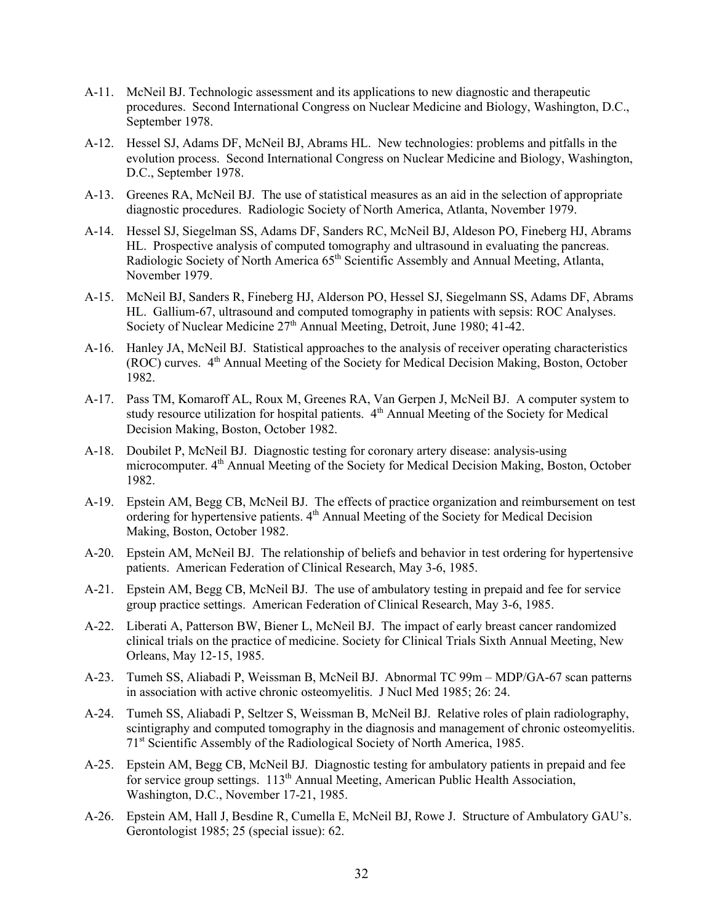- A-11. McNeil BJ. Technologic assessment and its applications to new diagnostic and therapeutic procedures. Second International Congress on Nuclear Medicine and Biology, Washington, D.C., September 1978.
- A-12. Hessel SJ, Adams DF, McNeil BJ, Abrams HL. New technologies: problems and pitfalls in the evolution process. Second International Congress on Nuclear Medicine and Biology, Washington, D.C., September 1978.
- A-13. Greenes RA, McNeil BJ. The use of statistical measures as an aid in the selection of appropriate diagnostic procedures. Radiologic Society of North America, Atlanta, November 1979.
- A-14. Hessel SJ, Siegelman SS, Adams DF, Sanders RC, McNeil BJ, Aldeson PO, Fineberg HJ, Abrams HL. Prospective analysis of computed tomography and ultrasound in evaluating the pancreas. Radiologic Society of North America 65<sup>th</sup> Scientific Assembly and Annual Meeting, Atlanta, November 1979.
- A-15. McNeil BJ, Sanders R, Fineberg HJ, Alderson PO, Hessel SJ, Siegelmann SS, Adams DF, Abrams HL. Gallium-67, ultrasound and computed tomography in patients with sepsis: ROC Analyses. Society of Nuclear Medicine 27<sup>th</sup> Annual Meeting, Detroit, June 1980; 41-42.
- A-16. Hanley JA, McNeil BJ. Statistical approaches to the analysis of receiver operating characteristics (ROC) curves. 4th Annual Meeting of the Society for Medical Decision Making, Boston, October 1982.
- A-17. Pass TM, Komaroff AL, Roux M, Greenes RA, Van Gerpen J, McNeil BJ. A computer system to study resource utilization for hospital patients.  $4<sup>th</sup>$  Annual Meeting of the Society for Medical Decision Making, Boston, October 1982.
- A-18. Doubilet P, McNeil BJ. Diagnostic testing for coronary artery disease: analysis-using microcomputer. 4<sup>th</sup> Annual Meeting of the Society for Medical Decision Making, Boston, October 1982.
- A-19. Epstein AM, Begg CB, McNeil BJ. The effects of practice organization and reimbursement on test ordering for hypertensive patients. 4<sup>th</sup> Annual Meeting of the Society for Medical Decision Making, Boston, October 1982.
- A-20. Epstein AM, McNeil BJ. The relationship of beliefs and behavior in test ordering for hypertensive patients. American Federation of Clinical Research, May 3-6, 1985.
- A-21. Epstein AM, Begg CB, McNeil BJ. The use of ambulatory testing in prepaid and fee for service group practice settings. American Federation of Clinical Research, May 3-6, 1985.
- A-22. Liberati A, Patterson BW, Biener L, McNeil BJ. The impact of early breast cancer randomized clinical trials on the practice of medicine. Society for Clinical Trials Sixth Annual Meeting, New Orleans, May 12-15, 1985.
- A-23. Tumeh SS, Aliabadi P, Weissman B, McNeil BJ. Abnormal TC 99m MDP/GA-67 scan patterns in association with active chronic osteomyelitis. J Nucl Med 1985; 26: 24.
- A-24. Tumeh SS, Aliabadi P, Seltzer S, Weissman B, McNeil BJ. Relative roles of plain radiolography, scintigraphy and computed tomography in the diagnosis and management of chronic osteomyelitis. 71st Scientific Assembly of the Radiological Society of North America, 1985.
- A-25. Epstein AM, Begg CB, McNeil BJ. Diagnostic testing for ambulatory patients in prepaid and fee for service group settings.  $113<sup>th</sup>$  Annual Meeting, American Public Health Association, Washington, D.C., November 17-21, 1985.
- A-26. Epstein AM, Hall J, Besdine R, Cumella E, McNeil BJ, Rowe J. Structure of Ambulatory GAU's. Gerontologist 1985; 25 (special issue): 62.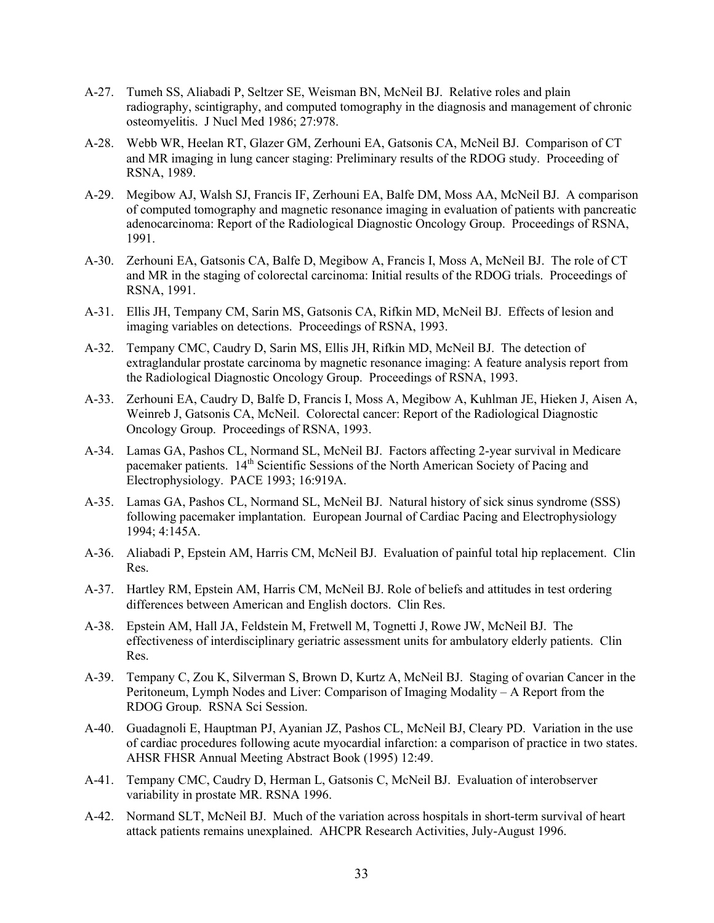- A-27. Tumeh SS, Aliabadi P, Seltzer SE, Weisman BN, McNeil BJ. Relative roles and plain radiography, scintigraphy, and computed tomography in the diagnosis and management of chronic osteomyelitis. J Nucl Med 1986; 27:978.
- A-28. Webb WR, Heelan RT, Glazer GM, Zerhouni EA, Gatsonis CA, McNeil BJ. Comparison of CT and MR imaging in lung cancer staging: Preliminary results of the RDOG study. Proceeding of RSNA, 1989.
- A-29. Megibow AJ, Walsh SJ, Francis IF, Zerhouni EA, Balfe DM, Moss AA, McNeil BJ. A comparison of computed tomography and magnetic resonance imaging in evaluation of patients with pancreatic adenocarcinoma: Report of the Radiological Diagnostic Oncology Group. Proceedings of RSNA, 1991.
- A-30. Zerhouni EA, Gatsonis CA, Balfe D, Megibow A, Francis I, Moss A, McNeil BJ. The role of CT and MR in the staging of colorectal carcinoma: Initial results of the RDOG trials. Proceedings of RSNA, 1991.
- A-31. Ellis JH, Tempany CM, Sarin MS, Gatsonis CA, Rifkin MD, McNeil BJ. Effects of lesion and imaging variables on detections. Proceedings of RSNA, 1993.
- A-32. Tempany CMC, Caudry D, Sarin MS, Ellis JH, Rifkin MD, McNeil BJ. The detection of extraglandular prostate carcinoma by magnetic resonance imaging: A feature analysis report from the Radiological Diagnostic Oncology Group. Proceedings of RSNA, 1993.
- A-33. Zerhouni EA, Caudry D, Balfe D, Francis I, Moss A, Megibow A, Kuhlman JE, Hieken J, Aisen A, Weinreb J, Gatsonis CA, McNeil. Colorectal cancer: Report of the Radiological Diagnostic Oncology Group. Proceedings of RSNA, 1993.
- A-34. Lamas GA, Pashos CL, Normand SL, McNeil BJ. Factors affecting 2-year survival in Medicare pacemaker patients. 14<sup>th</sup> Scientific Sessions of the North American Society of Pacing and Electrophysiology. PACE 1993; 16:919A.
- A-35. Lamas GA, Pashos CL, Normand SL, McNeil BJ. Natural history of sick sinus syndrome (SSS) following pacemaker implantation. European Journal of Cardiac Pacing and Electrophysiology 1994; 4:145A.
- A-36. Aliabadi P, Epstein AM, Harris CM, McNeil BJ. Evaluation of painful total hip replacement. Clin Res.
- A-37. Hartley RM, Epstein AM, Harris CM, McNeil BJ. Role of beliefs and attitudes in test ordering differences between American and English doctors. Clin Res.
- A-38. Epstein AM, Hall JA, Feldstein M, Fretwell M, Tognetti J, Rowe JW, McNeil BJ. The effectiveness of interdisciplinary geriatric assessment units for ambulatory elderly patients. Clin Res.
- A-39. Tempany C, Zou K, Silverman S, Brown D, Kurtz A, McNeil BJ. Staging of ovarian Cancer in the Peritoneum, Lymph Nodes and Liver: Comparison of Imaging Modality – A Report from the RDOG Group. RSNA Sci Session.
- A-40. Guadagnoli E, Hauptman PJ, Ayanian JZ, Pashos CL, McNeil BJ, Cleary PD. Variation in the use of cardiac procedures following acute myocardial infarction: a comparison of practice in two states. AHSR FHSR Annual Meeting Abstract Book (1995) 12:49.
- A-41. Tempany CMC, Caudry D, Herman L, Gatsonis C, McNeil BJ. Evaluation of interobserver variability in prostate MR. RSNA 1996.
- A-42. Normand SLT, McNeil BJ. Much of the variation across hospitals in short-term survival of heart attack patients remains unexplained. AHCPR Research Activities, July-August 1996.